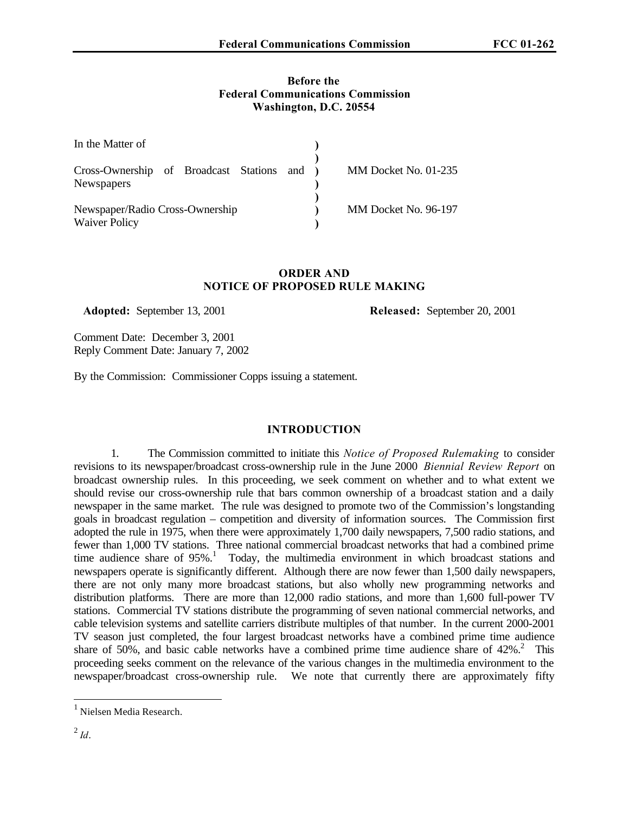#### **Before the Federal Communications Commission Washington, D.C. 20554**

| In the Matter of                                                 |                      |  |
|------------------------------------------------------------------|----------------------|--|
| Cross-Ownership of Broadcast Stations and )<br><b>Newspapers</b> | MM Docket No. 01-235 |  |
| Newspaper/Radio Cross-Ownership<br><b>Waiver Policy</b>          | MM Docket No. 96-197 |  |

#### **ORDER AND NOTICE OF PROPOSED RULE MAKING**

 **Adopted:** September 13, 2001 **Released:** September 20, 2001

Comment Date: December 3, 2001 Reply Comment Date: January 7, 2002

By the Commission: Commissioner Copps issuing a statement.

### **INTRODUCTION**

1. The Commission committed to initiate this *Notice of Proposed Rulemaking* to consider revisions to its newspaper/broadcast cross-ownership rule in the June 2000 *Biennial Review Report* on broadcast ownership rules. In this proceeding, we seek comment on whether and to what extent we should revise our cross-ownership rule that bars common ownership of a broadcast station and a daily newspaper in the same market. The rule was designed to promote two of the Commission's longstanding goals in broadcast regulation – competition and diversity of information sources. The Commission first adopted the rule in 1975, when there were approximately 1,700 daily newspapers, 7,500 radio stations, and fewer than 1,000 TV stations. Three national commercial broadcast networks that had a combined prime time audience share of  $95\%$ .<sup>1</sup> Today, the multimedia environment in which broadcast stations and newspapers operate is significantly different. Although there are now fewer than 1,500 daily newspapers, there are not only many more broadcast stations, but also wholly new programming networks and distribution platforms. There are more than 12,000 radio stations, and more than 1,600 full-power TV stations. Commercial TV stations distribute the programming of seven national commercial networks, and cable television systems and satellite carriers distribute multiples of that number. In the current 2000-2001 TV season just completed, the four largest broadcast networks have a combined prime time audience share of 50%, and basic cable networks have a combined prime time audience share of  $42\%$ .<sup>2</sup> This proceeding seeks comment on the relevance of the various changes in the multimedia environment to the newspaper/broadcast cross-ownership rule. We note that currently there are approximately fifty

<sup>&</sup>lt;sup>1</sup> Nielsen Media Research.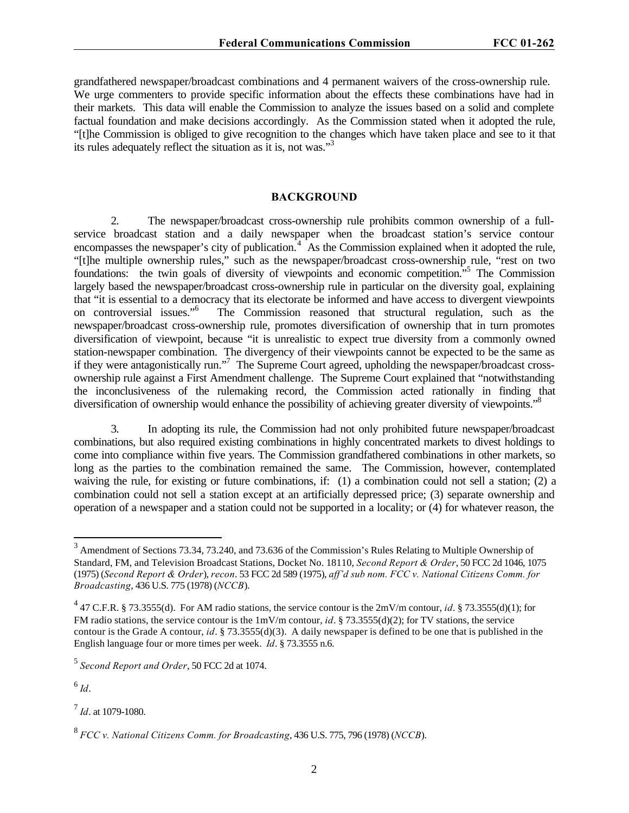grandfathered newspaper/broadcast combinations and 4 permanent waivers of the cross-ownership rule. We urge commenters to provide specific information about the effects these combinations have had in their markets. This data will enable the Commission to analyze the issues based on a solid and complete factual foundation and make decisions accordingly. As the Commission stated when it adopted the rule, "[t]he Commission is obliged to give recognition to the changes which have taken place and see to it that its rules adequately reflect the situation as it is, not was."<sup>3</sup>

#### **BACKGROUND**

2. The newspaper/broadcast cross-ownership rule prohibits common ownership of a fullservice broadcast station and a daily newspaper when the broadcast station's service contour encompasses the newspaper's city of publication.<sup>4</sup> As the Commission explained when it adopted the rule, "[t]he multiple ownership rules," such as the newspaper/broadcast cross-ownership rule, "rest on two foundations: the twin goals of diversity of viewpoints and economic competition."<sup>5</sup> The Commission largely based the newspaper/broadcast cross-ownership rule in particular on the diversity goal, explaining that "it is essential to a democracy that its electorate be informed and have access to divergent viewpoints on controversial issues."<sup>6</sup> The Commission reasoned that structural regulation, such as the newspaper/broadcast cross-ownership rule, promotes diversification of ownership that in turn promotes diversification of viewpoint, because "it is unrealistic to expect true diversity from a commonly owned station-newspaper combination. The divergency of their viewpoints cannot be expected to be the same as if they were antagonistically run."<sup>7</sup> The Supreme Court agreed, upholding the newspaper/broadcast crossownership rule against a First Amendment challenge. The Supreme Court explained that "notwithstanding the inconclusiveness of the rulemaking record, the Commission acted rationally in finding that diversification of ownership would enhance the possibility of achieving greater diversity of viewpoints."<sup>8</sup>

3. In adopting its rule, the Commission had not only prohibited future newspaper/broadcast combinations, but also required existing combinations in highly concentrated markets to divest holdings to come into compliance within five years. The Commission grandfathered combinations in other markets, so long as the parties to the combination remained the same. The Commission, however, contemplated waiving the rule, for existing or future combinations, if: (1) a combination could not sell a station; (2) a combination could not sell a station except at an artificially depressed price; (3) separate ownership and operation of a newspaper and a station could not be supported in a locality; or (4) for whatever reason, the

6 *Id*.

7 *Id*. at 1079-1080.

<sup>&</sup>lt;sup>3</sup> Amendment of Sections 73.34, 73.240, and 73.636 of the Commission's Rules Relating to Multiple Ownership of Standard, FM, and Television Broadcast Stations, Docket No. 18110, *Second Report & Order*, 50 FCC 2d 1046, 1075 (1975) (*Second Report & Order*), *recon*. 53 FCC 2d 589 (1975), *aff'd sub nom. FCC v. National Citizens Comm. for Broadcasting*, 436 U.S. 775 (1978) (*NCCB*).

<sup>&</sup>lt;sup>4</sup> 47 C.F.R. § 73.3555(d). For AM radio stations, the service contour is the 2mV/m contour, *id*. § 73.3555(d)(1); for FM radio stations, the service contour is the 1mV/m contour, *id*. § 73.3555(d)(2); for TV stations, the service contour is the Grade A contour, *id*. § 73.3555(d)(3). A daily newspaper is defined to be one that is published in the English language four or more times per week. *Id*. § 73.3555 n.6.

<sup>5</sup> *Second Report and Order*, 50 FCC 2d at 1074.

<sup>8</sup> *FCC v. National Citizens Comm. for Broadcasting*, 436 U.S. 775, 796 (1978) (*NCCB*).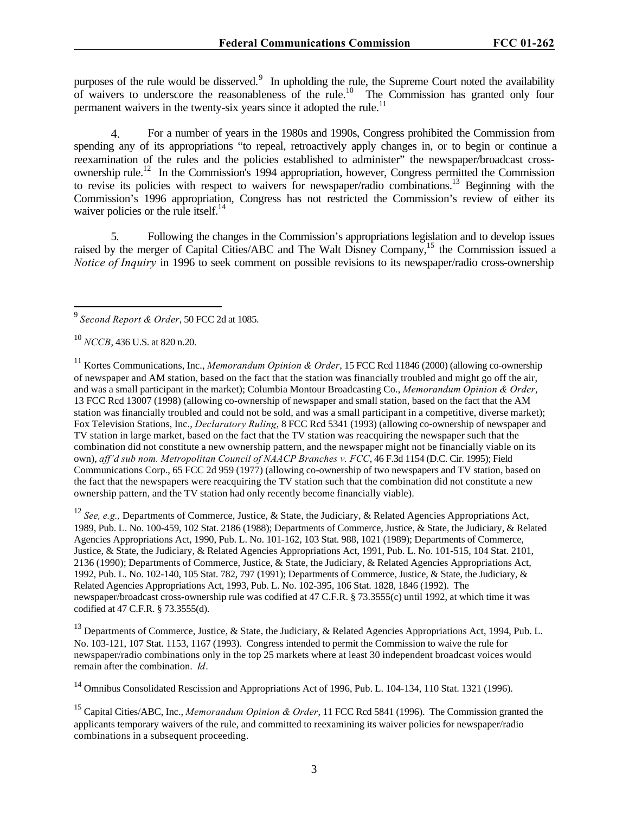purposes of the rule would be disserved.<sup>9</sup> In upholding the rule, the Supreme Court noted the availability of waivers to underscore the reasonableness of the rule.<sup>10</sup> The Commission has granted only four permanent waivers in the twenty-six years since it adopted the rule.<sup>11</sup>

4. For a number of years in the 1980s and 1990s, Congress prohibited the Commission from spending any of its appropriations "to repeal, retroactively apply changes in, or to begin or continue a reexamination of the rules and the policies established to administer" the newspaper/broadcast crossownership rule.<sup>12</sup> In the Commission's 1994 appropriation, however, Congress permitted the Commission to revise its policies with respect to waivers for newspaper/radio combinations.<sup>13</sup> Beginning with the Commission's 1996 appropriation, Congress has not restricted the Commission's review of either its waiver policies or the rule itself.<sup>14</sup>

5. Following the changes in the Commission's appropriations legislation and to develop issues raised by the merger of Capital Cities/ABC and The Walt Disney Company,<sup>15</sup> the Commission issued a *Notice of Inquiry* in 1996 to seek comment on possible revisions to its newspaper/radio cross-ownership

<sup>11</sup> Kortes Communications, Inc., *Memorandum Opinion & Order*, 15 FCC Rcd 11846 (2000) (allowing co-ownership of newspaper and AM station, based on the fact that the station was financially troubled and might go off the air, and was a small participant in the market); Columbia Montour Broadcasting Co., *Memorandum Opinion & Order*, 13 FCC Rcd 13007 (1998) (allowing co-ownership of newspaper and small station, based on the fact that the AM station was financially troubled and could not be sold, and was a small participant in a competitive, diverse market); Fox Television Stations, Inc., *Declaratory Ruling*, 8 FCC Rcd 5341 (1993) (allowing co-ownership of newspaper and TV station in large market, based on the fact that the TV station was reacquiring the newspaper such that the combination did not constitute a new ownership pattern, and the newspaper might not be financially viable on its own), *aff'd sub nom. Metropolitan Council of NAACP Branches v. FCC*, 46 F.3d 1154 (D.C. Cir. 1995); Field Communications Corp., 65 FCC 2d 959 (1977) (allowing co-ownership of two newspapers and TV station, based on the fact that the newspapers were reacquiring the TV station such that the combination did not constitute a new ownership pattern, and the TV station had only recently become financially viable).

<sup>12</sup> *See, e.g.,* Departments of Commerce, Justice, & State, the Judiciary, & Related Agencies Appropriations Act, 1989, Pub. L. No. 100-459, 102 Stat. 2186 (1988); Departments of Commerce, Justice, & State, the Judiciary, & Related Agencies Appropriations Act, 1990, Pub. L. No. 101-162, 103 Stat. 988, 1021 (1989); Departments of Commerce, Justice, & State, the Judiciary, & Related Agencies Appropriations Act, 1991, Pub. L. No. 101-515, 104 Stat. 2101, 2136 (1990); Departments of Commerce, Justice, & State, the Judiciary, & Related Agencies Appropriations Act, 1992, Pub. L. No. 102-140, 105 Stat. 782, 797 (1991); Departments of Commerce, Justice, & State, the Judiciary, & Related Agencies Appropriations Act, 1993, Pub. L. No. 102-395, 106 Stat. 1828, 1846 (1992). The newspaper/broadcast cross-ownership rule was codified at 47 C.F.R. § 73.3555(c) until 1992, at which time it was codified at 47 C.F.R. § 73.3555(d).

<sup>13</sup> Departments of Commerce, Justice, & State, the Judiciary, & Related Agencies Appropriations Act, 1994, Pub. L. No. 103-121, 107 Stat. 1153, 1167 (1993). Congress intended to permit the Commission to waive the rule for newspaper/radio combinations only in the top 25 markets where at least 30 independent broadcast voices would remain after the combination. *Id*.

<sup>14</sup> Omnibus Consolidated Rescission and Appropriations Act of 1996, Pub. L. 104-134, 110 Stat. 1321 (1996).

<sup>15</sup> Capital Cities/ABC, Inc., *Memorandum Opinion & Order*, 11 FCC Rcd 5841 (1996). The Commission granted the applicants temporary waivers of the rule, and committed to reexamining its waiver policies for newspaper/radio combinations in a subsequent proceeding.

 9 *Second Report & Order*, 50 FCC 2d at 1085.

<sup>10</sup> *NCCB*, 436 U.S. at 820 n.20.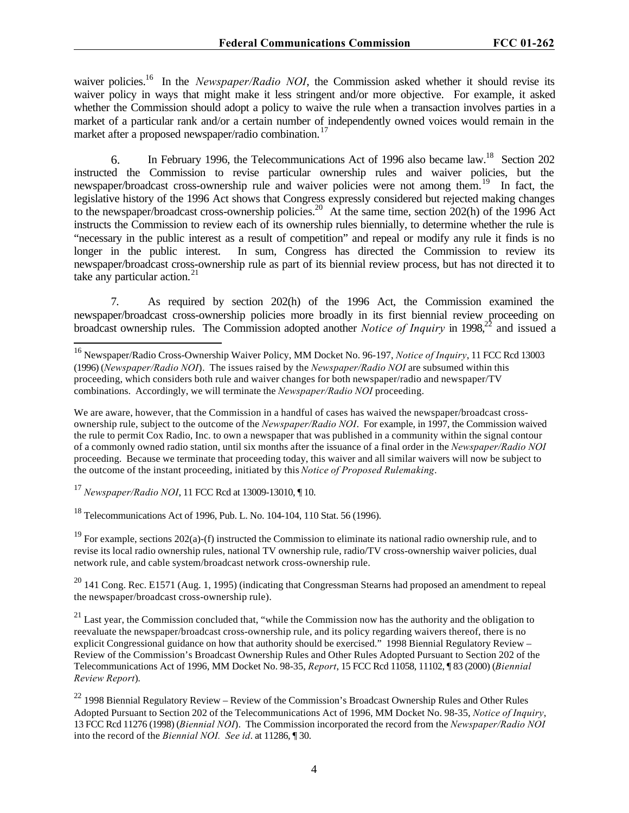waiver policies.<sup>16</sup> In the *Newspaper/Radio NOI*, the Commission asked whether it should revise its waiver policy in ways that might make it less stringent and/or more objective. For example, it asked whether the Commission should adopt a policy to waive the rule when a transaction involves parties in a market of a particular rank and/or a certain number of independently owned voices would remain in the market after a proposed newspaper/radio combination.<sup>17</sup>

6. In February 1996, the Telecommunications Act of 1996 also became law.<sup>18</sup> Section 202 instructed the Commission to revise particular ownership rules and waiver policies, but the newspaper/broadcast cross-ownership rule and waiver policies were not among them.<sup>19</sup> In fact, the legislative history of the 1996 Act shows that Congress expressly considered but rejected making changes to the newspaper/broadcast cross-ownership policies.<sup>20</sup> At the same time, section 202(h) of the 1996 Act instructs the Commission to review each of its ownership rules biennially, to determine whether the rule is "necessary in the public interest as a result of competition" and repeal or modify any rule it finds is no longer in the public interest. In sum, Congress has directed the Commission to review its newspaper/broadcast cross-ownership rule as part of its biennial review process, but has not directed it to take any particular action. $21$ 

7. As required by section 202(h) of the 1996 Act, the Commission examined the newspaper/broadcast cross-ownership policies more broadly in its first biennial review proceeding on broadcast ownership rules. The Commission adopted another *Notice of Inquiry* in 1998,<sup>22</sup> and issued a

We are aware, however, that the Commission in a handful of cases has waived the newspaper/broadcast crossownership rule, subject to the outcome of the *Newspaper/Radio NOI*. For example, in 1997, the Commission waived the rule to permit Cox Radio, Inc. to own a newspaper that was published in a community within the signal contour of a commonly owned radio station, until six months after the issuance of a final order in the *Newspaper/Radio NOI* proceeding. Because we terminate that proceeding today, this waiver and all similar waivers will now be subject to the outcome of the instant proceeding, initiated by this *Notice of Proposed Rulemaking*.

<sup>17</sup> *Newspaper/Radio NOI*, 11 FCC Rcd at 13009-13010, ¶ 10.

 $\overline{a}$ 

<sup>18</sup> Telecommunications Act of 1996, Pub. L. No. 104-104, 110 Stat. 56 (1996).

<sup>19</sup> For example, sections 202(a)-(f) instructed the Commission to eliminate its national radio ownership rule, and to revise its local radio ownership rules, national TV ownership rule, radio/TV cross-ownership waiver policies, dual network rule, and cable system/broadcast network cross-ownership rule.

 $^{20}$  141 Cong. Rec. E1571 (Aug. 1, 1995) (indicating that Congressman Stearns had proposed an amendment to repeal the newspaper/broadcast cross-ownership rule).

<sup>21</sup> Last year, the Commission concluded that, "while the Commission now has the authority and the obligation to reevaluate the newspaper/broadcast cross-ownership rule, and its policy regarding waivers thereof, there is no explicit Congressional guidance on how that authority should be exercised." 1998 Biennial Regulatory Review – Review of the Commission's Broadcast Ownership Rules and Other Rules Adopted Pursuant to Section 202 of the Telecommunications Act of 1996, MM Docket No. 98-35, *Report*, 15 FCC Rcd 11058, 11102, ¶ 83 (2000) (*Biennial Review Report*).

<sup>22</sup> 1998 Biennial Regulatory Review – Review of the Commission's Broadcast Ownership Rules and Other Rules Adopted Pursuant to Section 202 of the Telecommunications Act of 1996, MM Docket No. 98-35, *Notice of Inquiry*, 13 FCC Rcd 11276 (1998) (*Biennial NOI*). The Commission incorporated the record from the *Newspaper/Radio NOI* into the record of the *Biennial NOI. See id*. at 11286, ¶ 30.

<sup>16</sup> Newspaper/Radio Cross-Ownership Waiver Policy, MM Docket No. 96-197, *Notice of Inquiry*, 11 FCC Rcd 13003 (1996) (*Newspaper/Radio NOI*). The issues raised by the *Newspaper/Radio NOI* are subsumed within this proceeding, which considers both rule and waiver changes for both newspaper/radio and newspaper/TV combinations. Accordingly, we will terminate the *Newspaper/Radio NOI* proceeding.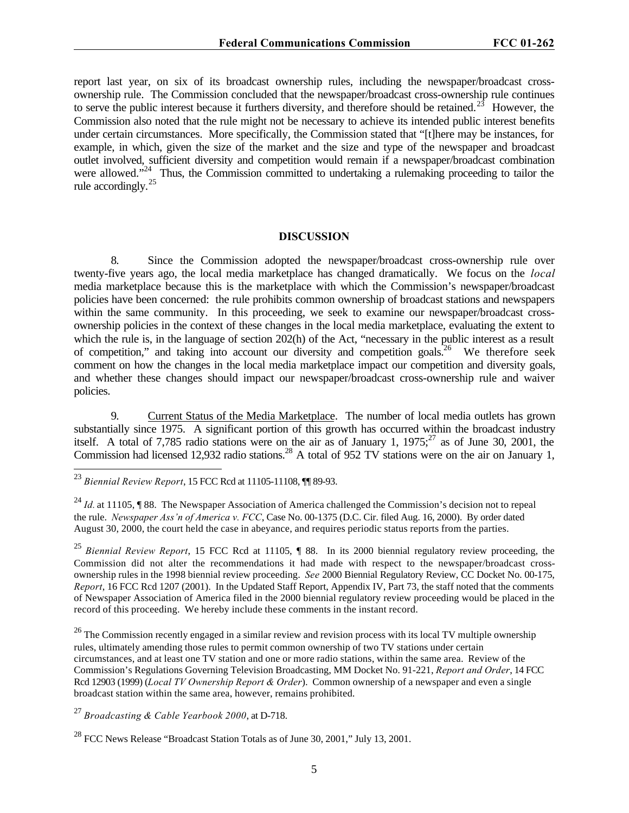report last year, on six of its broadcast ownership rules, including the newspaper/broadcast crossownership rule. The Commission concluded that the newspaper/broadcast cross-ownership rule continues to serve the public interest because it furthers diversity, and therefore should be retained.<sup>23</sup> However, the Commission also noted that the rule might not be necessary to achieve its intended public interest benefits under certain circumstances. More specifically, the Commission stated that "[t]here may be instances, for example, in which, given the size of the market and the size and type of the newspaper and broadcast outlet involved, sufficient diversity and competition would remain if a newspaper/broadcast combination were allowed."<sup>24</sup> Thus, the Commission committed to undertaking a rulemaking proceeding to tailor the rule accordingly.<sup>25</sup>

#### **DISCUSSION**

8. Since the Commission adopted the newspaper/broadcast cross-ownership rule over twenty-five years ago, the local media marketplace has changed dramatically. We focus on the *local* media marketplace because this is the marketplace with which the Commission's newspaper/broadcast policies have been concerned: the rule prohibits common ownership of broadcast stations and newspapers within the same community. In this proceeding, we seek to examine our newspaper/broadcast crossownership policies in the context of these changes in the local media marketplace, evaluating the extent to which the rule is, in the language of section 202(h) of the Act, "necessary in the public interest as a result of competition," and taking into account our diversity and competition goals.<sup>26</sup> We therefore seek comment on how the changes in the local media marketplace impact our competition and diversity goals, and whether these changes should impact our newspaper/broadcast cross-ownership rule and waiver policies.

9. Current Status of the Media Marketplace. The number of local media outlets has grown substantially since 1975. A significant portion of this growth has occurred within the broadcast industry itself. A total of 7,785 radio stations were on the air as of January 1,  $1975$ ;<sup>27</sup> as of June 30, 2001, the Commission had licensed 12,932 radio stations.<sup>28</sup> A total of 952 TV stations were on the air on January 1,

 $\overline{a}$ 

<sup>25</sup> *Biennial Review Report*, 15 FCC Rcd at 11105, ¶ 88. In its 2000 biennial regulatory review proceeding, the Commission did not alter the recommendations it had made with respect to the newspaper/broadcast crossownership rules in the 1998 biennial review proceeding. *See* 2000 Biennial Regulatory Review, CC Docket No. 00-175, *Report*, 16 FCC Rcd 1207 (2001). In the Updated Staff Report, Appendix IV, Part 73, the staff noted that the comments of Newspaper Association of America filed in the 2000 biennial regulatory review proceeding would be placed in the record of this proceeding. We hereby include these comments in the instant record.

<sup>26</sup> The Commission recently engaged in a similar review and revision process with its local TV multiple ownership rules, ultimately amending those rules to permit common ownership of two TV stations under certain circumstances, and at least one TV station and one or more radio stations, within the same area. Review of the Commission's Regulations Governing Television Broadcasting, MM Docket No. 91-221, *Report and Order*, 14 FCC Rcd 12903 (1999) (*Local TV Ownership Report & Order*). Common ownership of a newspaper and even a single broadcast station within the same area, however, remains prohibited.

<sup>27</sup> *Broadcasting & Cable Yearbook 2000*, at D-718.

<sup>23</sup> *Biennial Review Report*, 15 FCC Rcd at 11105-11108, ¶¶ 89-93.

<sup>&</sup>lt;sup>24</sup> *Id.* at 11105, ¶ 88. The Newspaper Association of America challenged the Commission's decision not to repeal the rule. *Newspaper Ass'n of America v. FCC*, Case No. 00-1375 (D.C. Cir. filed Aug. 16, 2000). By order dated August 30, 2000, the court held the case in abeyance, and requires periodic status reports from the parties.

 $^{28}$  FCC News Release "Broadcast Station Totals as of June 30, 2001," July 13, 2001.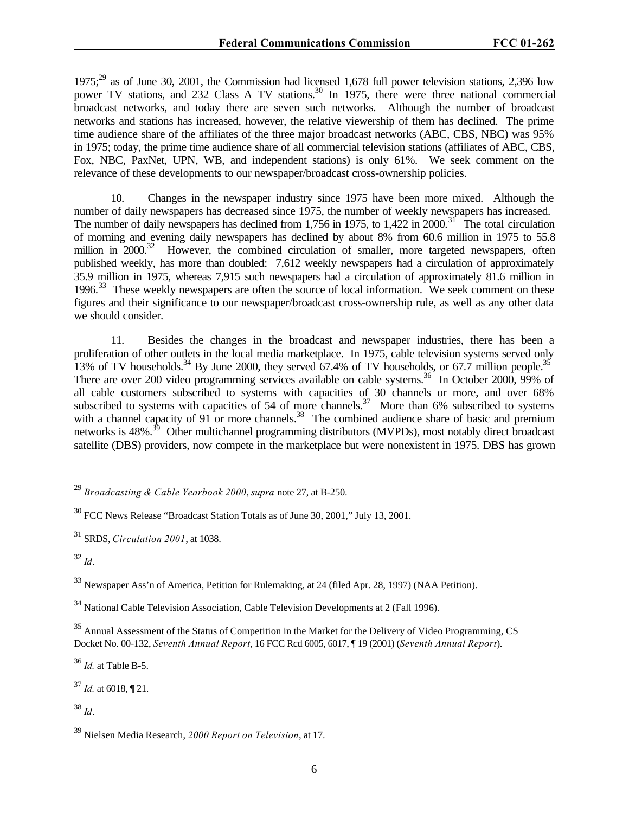$1975;^{29}$  as of June 30, 2001, the Commission had licensed 1,678 full power television stations, 2,396 low power TV stations, and 232 Class A TV stations.<sup>30</sup> In 1975, there were three national commercial broadcast networks, and today there are seven such networks. Although the number of broadcast networks and stations has increased, however, the relative viewership of them has declined. The prime time audience share of the affiliates of the three major broadcast networks (ABC, CBS, NBC) was 95% in 1975; today, the prime time audience share of all commercial television stations (affiliates of ABC, CBS, Fox, NBC, PaxNet, UPN, WB, and independent stations) is only 61%. We seek comment on the relevance of these developments to our newspaper/broadcast cross-ownership policies.

10. Changes in the newspaper industry since 1975 have been more mixed. Although the number of daily newspapers has decreased since 1975, the number of weekly newspapers has increased. The number of daily newspapers has declined from 1,756 in 1975, to 1,422 in 2000.<sup>31</sup> The total circulation of morning and evening daily newspapers has declined by about 8% from 60.6 million in 1975 to 55.8 million in 2000.<sup>32</sup> However, the combined circulation of smaller, more targeted newspapers, often published weekly, has more than doubled: 7,612 weekly newspapers had a circulation of approximately 35.9 million in 1975, whereas 7,915 such newspapers had a circulation of approximately 81.6 million in 1996.<sup>33</sup> These weekly newspapers are often the source of local information. We seek comment on these figures and their significance to our newspaper/broadcast cross-ownership rule, as well as any other data we should consider.

11. Besides the changes in the broadcast and newspaper industries, there has been a proliferation of other outlets in the local media marketplace. In 1975, cable television systems served only 13% of TV households.<sup>34</sup> By June 2000, they served 67.4% of TV households, or 67.7 million people.<sup>35</sup> There are over 200 video programming services available on cable systems.<sup>36</sup> In October 2000, 99% of all cable customers subscribed to systems with capacities of 30 channels or more, and over 68% subscribed to systems with capacities of 54 of more channels.<sup>37</sup> More than 6% subscribed to systems with a channel capacity of 91 or more channels.<sup>38</sup> The combined audience share of basic and premium networks is 48%.<sup>39</sup> Other multichannel programming distributors (MVPDs), most notably direct broadcast satellite (DBS) providers, now compete in the marketplace but were nonexistent in 1975. DBS has grown

<sup>32</sup> *Id*.

 $\overline{a}$ 

<sup>33</sup> Newspaper Ass'n of America, Petition for Rulemaking, at 24 (filed Apr. 28, 1997) (NAA Petition).

<sup>34</sup> National Cable Television Association, Cable Television Developments at 2 (Fall 1996).

<sup>35</sup> Annual Assessment of the Status of Competition in the Market for the Delivery of Video Programming, CS Docket No. 00-132, *Seventh Annual Report*, 16 FCC Rcd 6005, 6017, ¶ 19 (2001) (*Seventh Annual Report*).

<sup>36</sup> *Id.* at Table B-5.

<sup>37</sup> *Id.* at 6018, ¶ 21.

<sup>38</sup> *Id*.

<sup>29</sup> *Broadcasting & Cable Yearbook 2000*, *supra* note 27, at B-250.

 $30$  FCC News Release "Broadcast Station Totals as of June 30, 2001," July 13, 2001.

<sup>31</sup> SRDS, *Circulation 2001*, at 1038.

<sup>39</sup> Nielsen Media Research, *2000 Report on Television*, at 17.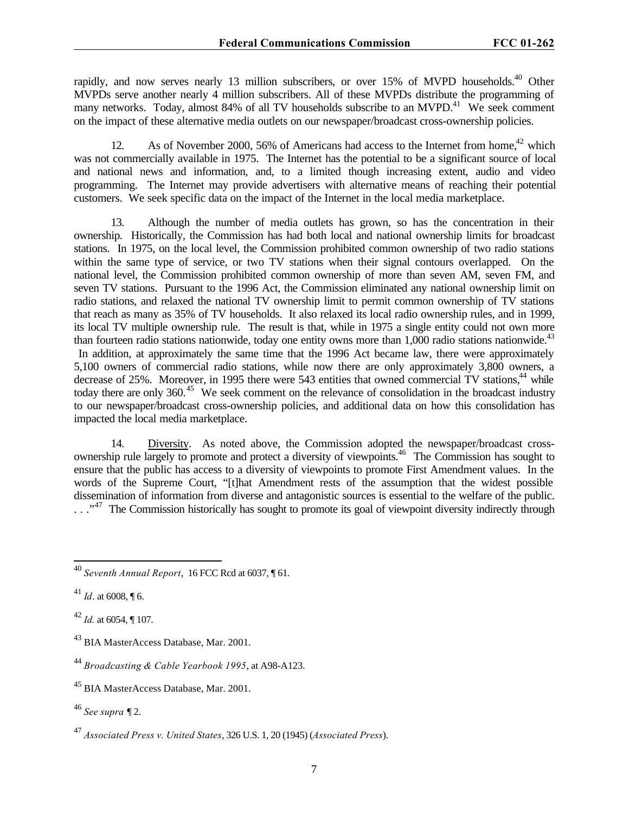rapidly, and now serves nearly 13 million subscribers, or over 15% of MVPD households.<sup>40</sup> Other MVPDs serve another nearly 4 million subscribers. All of these MVPDs distribute the programming of many networks. Today, almost 84% of all TV households subscribe to an MVPD.<sup>41</sup> We seek comment on the impact of these alternative media outlets on our newspaper/broadcast cross-ownership policies.

12. As of November 2000, 56% of Americans had access to the Internet from home,<sup>42</sup> which was not commercially available in 1975. The Internet has the potential to be a significant source of local and national news and information, and, to a limited though increasing extent, audio and video programming. The Internet may provide advertisers with alternative means of reaching their potential customers. We seek specific data on the impact of the Internet in the local media marketplace.

13. Although the number of media outlets has grown, so has the concentration in their ownership. Historically, the Commission has had both local and national ownership limits for broadcast stations. In 1975, on the local level, the Commission prohibited common ownership of two radio stations within the same type of service, or two TV stations when their signal contours overlapped. On the national level, the Commission prohibited common ownership of more than seven AM, seven FM, and seven TV stations. Pursuant to the 1996 Act, the Commission eliminated any national ownership limit on radio stations, and relaxed the national TV ownership limit to permit common ownership of TV stations that reach as many as 35% of TV households. It also relaxed its local radio ownership rules, and in 1999, its local TV multiple ownership rule. The result is that, while in 1975 a single entity could not own more than fourteen radio stations nationwide, today one entity owns more than  $1,000$  radio stations nationwide.<sup>43</sup> In addition, at approximately the same time that the 1996 Act became law, there were approximately 5,100 owners of commercial radio stations, while now there are only approximately 3,800 owners, a decrease of 25%. Moreover, in 1995 there were 543 entities that owned commercial TV stations,<sup>44</sup> while today there are only 360.<sup>45</sup> We seek comment on the relevance of consolidation in the broadcast industry to our newspaper/broadcast cross-ownership policies, and additional data on how this consolidation has impacted the local media marketplace.

14. Diversity. As noted above, the Commission adopted the newspaper/broadcast crossownership rule largely to promote and protect a diversity of viewpoints.<sup>46</sup> The Commission has sought to ensure that the public has access to a diversity of viewpoints to promote First Amendment values. In the words of the Supreme Court, "[t]hat Amendment rests of the assumption that the widest possible dissemination of information from diverse and antagonistic sources is essential to the welfare of the public.  $\ldots$ <sup>47</sup> The Commission historically has sought to promote its goal of viewpoint diversity indirectly through

<sup>40</sup> *Seventh Annual Report*, 16 FCC Rcd at 6037, ¶ 61.

 $^{41}$  *Id*. at 6008, ¶ 6.

<sup>42</sup> *Id.* at 6054, ¶ 107.

<sup>43</sup> BIA MasterAccess Database, Mar. 2001.

<sup>44</sup> *Broadcasting & Cable Yearbook 1995*, at A98-A123.

<sup>45</sup> BIA MasterAccess Database, Mar. 2001.

<sup>46</sup> *See supra* ¶ 2.

<sup>47</sup> *Associated Press v. United States*, 326 U.S. 1, 20 (1945) (*Associated Press*).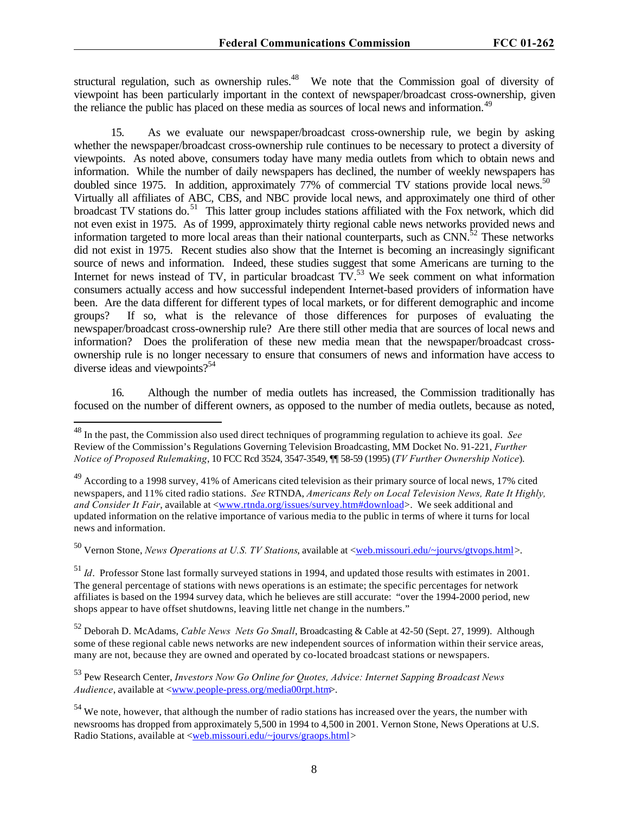structural regulation, such as ownership rules.<sup>48</sup> We note that the Commission goal of diversity of viewpoint has been particularly important in the context of newspaper/broadcast cross-ownership, given the reliance the public has placed on these media as sources of local news and information.<sup>49</sup>

15. As we evaluate our newspaper/broadcast cross-ownership rule, we begin by asking whether the newspaper/broadcast cross-ownership rule continues to be necessary to protect a diversity of viewpoints. As noted above, consumers today have many media outlets from which to obtain news and information. While the number of daily newspapers has declined, the number of weekly newspapers has doubled since 1975. In addition, approximately 77% of commercial TV stations provide local news.<sup>50</sup> Virtually all affiliates of ABC, CBS, and NBC provide local news, and approximately one third of other broadcast TV stations do.<sup>51</sup> This latter group includes stations affiliated with the Fox network, which did not even exist in 1975. As of 1999, approximately thirty regional cable news networks provided news and information targeted to more local areas than their national counterparts, such as  $CNN$ <sup>52</sup>. These networks did not exist in 1975. Recent studies also show that the Internet is becoming an increasingly significant source of news and information. Indeed, these studies suggest that some Americans are turning to the Internet for news instead of TV, in particular broadcast  $TV<sup>53</sup>$  We seek comment on what information consumers actually access and how successful independent Internet-based providers of information have been. Are the data different for different types of local markets, or for different demographic and income groups? If so, what is the relevance of those differences for purposes of evaluating the newspaper/broadcast cross-ownership rule? Are there still other media that are sources of local news and information? Does the proliferation of these new media mean that the newspaper/broadcast crossownership rule is no longer necessary to ensure that consumers of news and information have access to diverse ideas and viewpoints?<sup>54</sup>

16. Although the number of media outlets has increased, the Commission traditionally has focused on the number of different owners, as opposed to the number of media outlets, because as noted,

 $\overline{a}$ 

<sup>50</sup> Vernon Stone, *News Operations at U.S. TV Stations*, available at <<u>web.missouri.edu/~jourvs/gtvops.html</u>>.

<sup>51</sup> *Id*. Professor Stone last formally surveyed stations in 1994, and updated those results with estimates in 2001. The general percentage of stations with news operations is an estimate; the specific percentages for network affiliates is based on the 1994 survey data, which he believes are still accurate: "over the 1994-2000 period, new shops appear to have offset shutdowns, leaving little net change in the numbers."

<sup>52</sup> Deborah D. McAdams, *Cable News Nets Go Small*, Broadcasting & Cable at 42-50 (Sept. 27, 1999). Although some of these regional cable news networks are new independent sources of information within their service areas, many are not, because they are owned and operated by co-located broadcast stations or newspapers.

<sup>53</sup> Pew Research Center, *Investors Now Go Online for Quotes, Advice: Internet Sapping Broadcast News Audience*, available at <www.people-press.org/media00rpt.htm>.

<sup>48</sup> In the past, the Commission also used direct techniques of programming regulation to achieve its goal. *See* Review of the Commission's Regulations Governing Television Broadcasting, MM Docket No. 91-221, *Further Notice of Proposed Rulemaking*, 10 FCC Rcd 3524, 3547-3549, ¶¶ 58-59 (1995) (*TV Further Ownership Notice*).

<sup>&</sup>lt;sup>49</sup> According to a 1998 survey, 41% of Americans cited television as their primary source of local news, 17% cited newspapers, and 11% cited radio stations. *See* RTNDA, *Americans Rely on Local Television News, Rate It Highly,* and Consider It Fair, available at <<u>www.rtnda.org/issues/survey.htm#download</u>>. We seek additional and updated information on the relative importance of various media to the public in terms of where it turns for local news and information.

<sup>&</sup>lt;sup>54</sup> We note, however, that although the number of radio stations has increased over the years, the number with newsrooms has dropped from approximately 5,500 in 1994 to 4,500 in 2001. Vernon Stone, News Operations at U.S. Radio Stations, available at <web.missouri.edu/~jourvs/graops.html>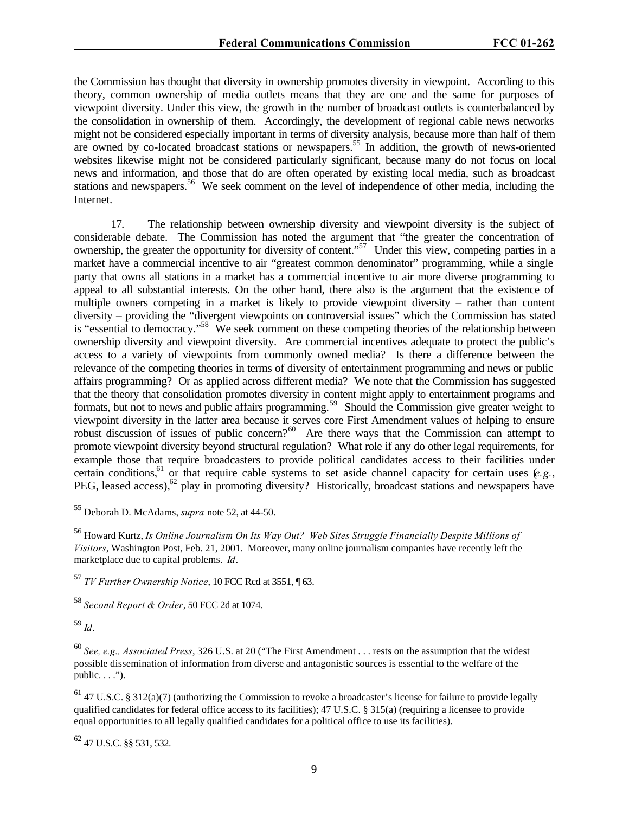the Commission has thought that diversity in ownership promotes diversity in viewpoint. According to this theory, common ownership of media outlets means that they are one and the same for purposes of viewpoint diversity. Under this view, the growth in the number of broadcast outlets is counterbalanced by the consolidation in ownership of them. Accordingly, the development of regional cable news networks might not be considered especially important in terms of diversity analysis, because more than half of them are owned by co-located broadcast stations or newspapers.<sup>55</sup> In addition, the growth of news-oriented websites likewise might not be considered particularly significant, because many do not focus on local news and information, and those that do are often operated by existing local media, such as broadcast stations and newspapers.<sup>56</sup> We seek comment on the level of independence of other media, including the Internet.

17. The relationship between ownership diversity and viewpoint diversity is the subject of considerable debate. The Commission has noted the argument that "the greater the concentration of ownership, the greater the opportunity for diversity of content."<sup>57</sup> Under this view, competing parties in a market have a commercial incentive to air "greatest common denominator" programming, while a single party that owns all stations in a market has a commercial incentive to air more diverse programming to appeal to all substantial interests. On the other hand, there also is the argument that the existence of multiple owners competing in a market is likely to provide viewpoint diversity – rather than content diversity – providing the "divergent viewpoints on controversial issues" which the Commission has stated is "essential to democracy."<sup>58</sup> We seek comment on these competing theories of the relationship between ownership diversity and viewpoint diversity. Are commercial incentives adequate to protect the public's access to a variety of viewpoints from commonly owned media? Is there a difference between the relevance of the competing theories in terms of diversity of entertainment programming and news or public affairs programming? Or as applied across different media? We note that the Commission has suggested that the theory that consolidation promotes diversity in content might apply to entertainment programs and formats, but not to news and public affairs programming.<sup>59</sup> Should the Commission give greater weight to viewpoint diversity in the latter area because it serves core First Amendment values of helping to ensure robust discussion of issues of public concern?<sup>60</sup> Are there ways that the Commission can attempt to promote viewpoint diversity beyond structural regulation? What role if any do other legal requirements, for example those that require broadcasters to provide political candidates access to their facilities under certain conditions,<sup>61</sup> or that require cable systems to set aside channel capacity for certain uses  $(e.g.,)$ PEG, leased access),<sup>62</sup> play in promoting diversity? Historically, broadcast stations and newspapers have

<sup>58</sup> *Second Report & Order*, 50 FCC 2d at 1074.

<sup>59</sup> *Id*.

 $\overline{a}$ 

<sup>60</sup> *See, e.g., Associated Press*, 326 U.S. at 20 ("The First Amendment . . . rests on the assumption that the widest possible dissemination of information from diverse and antagonistic sources is essential to the welfare of the  $public. . . .".$ 

 $61$  47 U.S.C. § 312(a)(7) (authorizing the Commission to revoke a broadcaster's license for failure to provide legally qualified candidates for federal office access to its facilities); 47 U.S.C. § 315(a) (requiring a licensee to provide equal opportunities to all legally qualified candidates for a political office to use its facilities).

 $62$  47 U.S.C.  $88$  531, 532.

<sup>55</sup> Deborah D. McAdams, *supra* note 52, at 44-50.

<sup>56</sup> Howard Kurtz, *Is Online Journalism On Its Way Out? Web Sites Struggle Financially Despite Millions of Visitors*, Washington Post, Feb. 21, 2001. Moreover, many online journalism companies have recently left the marketplace due to capital problems. *Id*.

<sup>57</sup> *TV Further Ownership Notice*, 10 FCC Rcd at 3551, ¶ 63.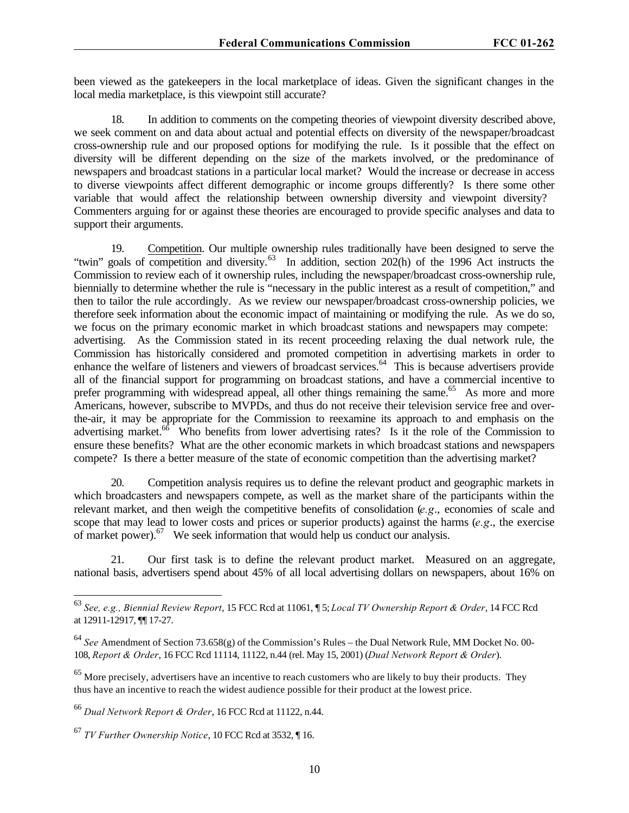been viewed as the gatekeepers in the local marketplace of ideas. Given the significant changes in the local media marketplace, is this viewpoint still accurate?

18. In addition to comments on the competing theories of viewpoint diversity described above, we seek comment on and data about actual and potential effects on diversity of the newspaper/broadcast cross-ownership rule and our proposed options for modifying the rule. Is it possible that the effect on diversity will be different depending on the size of the markets involved, or the predominance of newspapers and broadcast stations in a particular local market? Would the increase or decrease in access to diverse viewpoints affect different demographic or income groups differently? Is there some other variable that would affect the relationship between ownership diversity and viewpoint diversity? Commenters arguing for or against these theories are encouraged to provide specific analyses and data to support their arguments.

19. Competition. Our multiple ownership rules traditionally have been designed to serve the "twin" goals of competition and diversity.<sup>63</sup> In addition, section 202(h) of the 1996 Act instructs the Commission to review each of it ownership rules, including the newspaper/broadcast cross-ownership rule, biennially to determine whether the rule is "necessary in the public interest as a result of competition," and then to tailor the rule accordingly. As we review our newspaper/broadcast cross-ownership policies, we therefore seek information about the economic impact of maintaining or modifying the rule. As we do so, we focus on the primary economic market in which broadcast stations and newspapers may compete: advertising. As the Commission stated in its recent proceeding relaxing the dual network rule, the Commission has historically considered and promoted competition in advertising markets in order to enhance the welfare of listeners and viewers of broadcast services.<sup>64</sup> This is because advertisers provide all of the financial support for programming on broadcast stations, and have a commercial incentive to prefer programming with widespread appeal, all other things remaining the same.<sup>65</sup> As more and more Americans, however, subscribe to MVPDs, and thus do not receive their television service free and overthe-air, it may be appropriate for the Commission to reexamine its approach to and emphasis on the advertising market.<sup>66</sup> Who benefits from lower advertising rates? Is it the role of the Commission to ensure these benefits? What are the other economic markets in which broadcast stations and newspapers compete? Is there a better measure of the state of economic competition than the advertising market?

20. Competition analysis requires us to define the relevant product and geographic markets in which broadcasters and newspapers compete, as well as the market share of the participants within the relevant market, and then weigh the competitive benefits of consolidation (*e.g*., economies of scale and scope that may lead to lower costs and prices or superior products) against the harms (*e.g*., the exercise of market power). $67$  We seek information that would help us conduct our analysis.

21. Our first task is to define the relevant product market. Measured on an aggregate, national basis, advertisers spend about 45% of all local advertising dollars on newspapers, about 16% on

 $\ddot{\phantom{a}}$ 

<sup>63</sup> *See, e.g., Biennial Review Report*, 15 FCC Rcd at 11061, ¶ 5; *Local TV Ownership Report & Order*, 14 FCC Rcd at 12911-12917, ¶¶ 17-27.

<sup>64</sup> *See* Amendment of Section 73.658(g) of the Commission's Rules – the Dual Network Rule, MM Docket No. 00- 108, *Report & Order*, 16 FCC Rcd 11114, 11122, n.44 (rel. May 15, 2001) (*Dual Network Report & Order*).

<sup>&</sup>lt;sup>65</sup> More precisely, advertisers have an incentive to reach customers who are likely to buy their products. They thus have an incentive to reach the widest audience possible for their product at the lowest price.

<sup>66</sup> *Dual Network Report & Order*, 16 FCC Rcd at 11122, n.44.

<sup>67</sup> *TV Further Ownership Notice*, 10 FCC Rcd at 3532, ¶ 16.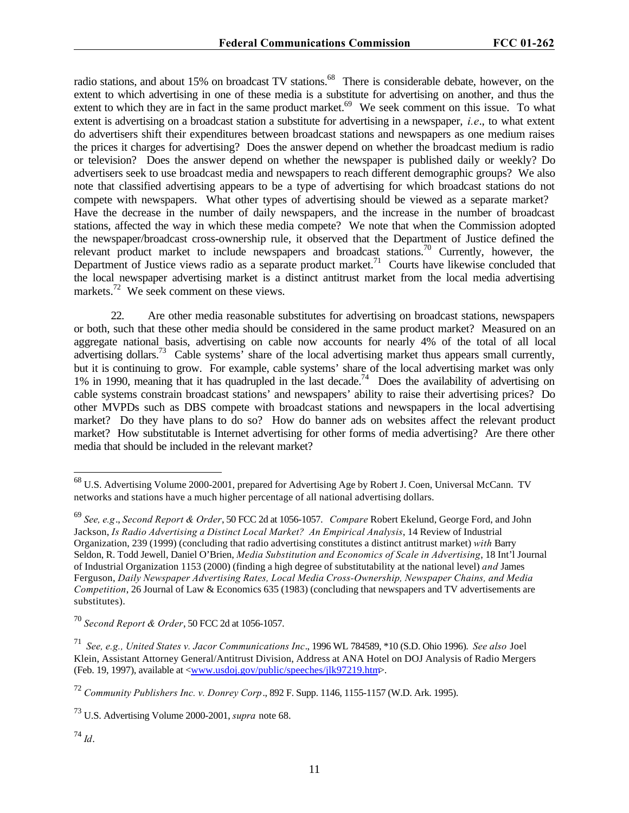radio stations, and about 15% on broadcast TV stations.<sup>68</sup> There is considerable debate, however, on the extent to which advertising in one of these media is a substitute for advertising on another, and thus the extent to which they are in fact in the same product market.<sup>69</sup> We seek comment on this issue. To what extent is advertising on a broadcast station a substitute for advertising in a newspaper, *i.e*., to what extent do advertisers shift their expenditures between broadcast stations and newspapers as one medium raises the prices it charges for advertising? Does the answer depend on whether the broadcast medium is radio or television? Does the answer depend on whether the newspaper is published daily or weekly? Do advertisers seek to use broadcast media and newspapers to reach different demographic groups? We also note that classified advertising appears to be a type of advertising for which broadcast stations do not compete with newspapers. What other types of advertising should be viewed as a separate market? Have the decrease in the number of daily newspapers, and the increase in the number of broadcast stations, affected the way in which these media compete? We note that when the Commission adopted the newspaper/broadcast cross-ownership rule, it observed that the Department of Justice defined the relevant product market to include newspapers and broadcast stations.<sup>70</sup> Currently, however, the Department of Justice views radio as a separate product market.<sup>71</sup> Courts have likewise concluded that the local newspaper advertising market is a distinct antitrust market from the local media advertising markets.<sup>72</sup> We seek comment on these views.

22. Are other media reasonable substitutes for advertising on broadcast stations, newspapers or both, such that these other media should be considered in the same product market? Measured on an aggregate national basis, advertising on cable now accounts for nearly 4% of the total of all local advertising dollars.<sup>73</sup> Cable systems<sup>7</sup> share of the local advertising market thus appears small currently, but it is continuing to grow. For example, cable systems' share of the local advertising market was only 1% in 1990, meaning that it has quadrupled in the last decade.<sup>74</sup> Does the availability of advertising on cable systems constrain broadcast stations' and newspapers' ability to raise their advertising prices? Do other MVPDs such as DBS compete with broadcast stations and newspapers in the local advertising market? Do they have plans to do so? How do banner ads on websites affect the relevant product market? How substitutable is Internet advertising for other forms of media advertising? Are there other media that should be included in the relevant market?

 $\ddot{\phantom{a}}$ 

 $^{68}$  U.S. Advertising Volume 2000-2001, prepared for Advertising Age by Robert J. Coen, Universal McCann. TV networks and stations have a much higher percentage of all national advertising dollars.

<sup>69</sup> *See, e.g*., *Second Report & Order*, 50 FCC 2d at 1056-1057. *Compare* Robert Ekelund, George Ford, and John Jackson, *Is Radio Advertising a Distinct Local Market? An Empirical Analysis*, 14 Review of Industrial Organization, 239 (1999) (concluding that radio advertising constitutes a distinct antitrust market) *with* Barry Seldon, R. Todd Jewell, Daniel O'Brien, *Media Substitution and Economics of Scale in Advertising*, 18 Int'l Journal of Industrial Organization 1153 (2000) (finding a high degree of substitutability at the national level) *and* James Ferguson, *Daily Newspaper Advertising Rates, Local Media Cross-Ownership, Newspaper Chains, and Media Competition*, 26 Journal of Law & Economics 635 (1983) (concluding that newspapers and TV advertisements are substitutes).

<sup>70</sup> *Second Report & Order*, 50 FCC 2d at 1056-1057.

<sup>71</sup> *See, e.g., United States v. Jacor Communications Inc*., 1996 WL 784589, \*10 (S.D. Ohio 1996). *See also* Joel Klein, Assistant Attorney General/Antitrust Division, Address at ANA Hotel on DOJ Analysis of Radio Mergers (Feb. 19, 1997), available at <www.usdoj.gov/public/speeches/jlk97219.htm>.

<sup>72</sup> *Community Publishers Inc. v. Donrey Corp*., 892 F. Supp. 1146, 1155-1157 (W.D. Ark. 1995).

<sup>73</sup> U.S. Advertising Volume 2000-2001, *supra* note 68.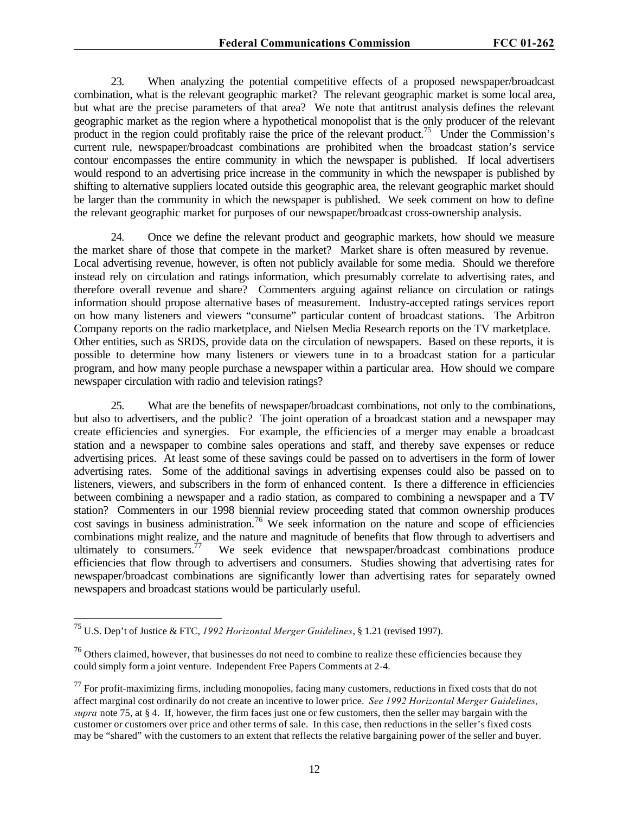23. When analyzing the potential competitive effects of a proposed newspaper/broadcast combination, what is the relevant geographic market? The relevant geographic market is some local area, but what are the precise parameters of that area? We note that antitrust analysis defines the relevant geographic market as the region where a hypothetical monopolist that is the only producer of the relevant product in the region could profitably raise the price of the relevant product.<sup>75</sup> Under the Commission's current rule, newspaper/broadcast combinations are prohibited when the broadcast station's service contour encompasses the entire community in which the newspaper is published. If local advertisers would respond to an advertising price increase in the community in which the newspaper is published by shifting to alternative suppliers located outside this geographic area, the relevant geographic market should be larger than the community in which the newspaper is published. We seek comment on how to define the relevant geographic market for purposes of our newspaper/broadcast cross-ownership analysis.

24. Once we define the relevant product and geographic markets, how should we measure the market share of those that compete in the market? Market share is often measured by revenue. Local advertising revenue, however, is often not publicly available for some media. Should we therefore instead rely on circulation and ratings information, which presumably correlate to advertising rates, and therefore overall revenue and share? Commenters arguing against reliance on circulation or ratings information should propose alternative bases of measurement. Industry-accepted ratings services report on how many listeners and viewers "consume" particular content of broadcast stations. The Arbitron Company reports on the radio marketplace, and Nielsen Media Research reports on the TV marketplace. Other entities, such as SRDS, provide data on the circulation of newspapers. Based on these reports, it is possible to determine how many listeners or viewers tune in to a broadcast station for a particular program, and how many people purchase a newspaper within a particular area. How should we compare newspaper circulation with radio and television ratings?

25. What are the benefits of newspaper/broadcast combinations, not only to the combinations, but also to advertisers, and the public? The joint operation of a broadcast station and a newspaper may create efficiencies and synergies. For example, the efficiencies of a merger may enable a broadcast station and a newspaper to combine sales operations and staff, and thereby save expenses or reduce advertising prices. At least some of these savings could be passed on to advertisers in the form of lower advertising rates. Some of the additional savings in advertising expenses could also be passed on to listeners, viewers, and subscribers in the form of enhanced content. Is there a difference in efficiencies between combining a newspaper and a radio station, as compared to combining a newspaper and a TV station? Commenters in our 1998 biennial review proceeding stated that common ownership produces cost savings in business administration.<sup>76</sup> We seek information on the nature and scope of efficiencies combinations might realize, and the nature and magnitude of benefits that flow through to advertisers and ultimately to consumers.<sup>77</sup> We seek evidence that newspaper/broadcast combinations produce efficiencies that flow through to advertisers and consumers. Studies showing that advertising rates for newspaper/broadcast combinations are significantly lower than advertising rates for separately owned newspapers and broadcast stations would be particularly useful.

l

<sup>75</sup> U.S. Dep't of Justice & FTC, *1992 Horizontal Merger Guidelines*, § 1.21 (revised 1997).

<sup>&</sup>lt;sup>76</sup> Others claimed, however, that businesses do not need to combine to realize these efficiencies because they could simply form a joint venture. Independent Free Papers Comments at 2-4.

 $^{77}$  For profit-maximizing firms, including monopolies, facing many customers, reductions in fixed costs that do not affect marginal cost ordinarily do not create an incentive to lower price. *See 1992 Horizontal Merger Guidelines, supra* note 75, at § 4. If, however, the firm faces just one or few customers, then the seller may bargain with the customer or customers over price and other terms of sale. In this case, then reductions in the seller's fixed costs may be "shared" with the customers to an extent that reflects the relative bargaining power of the seller and buyer.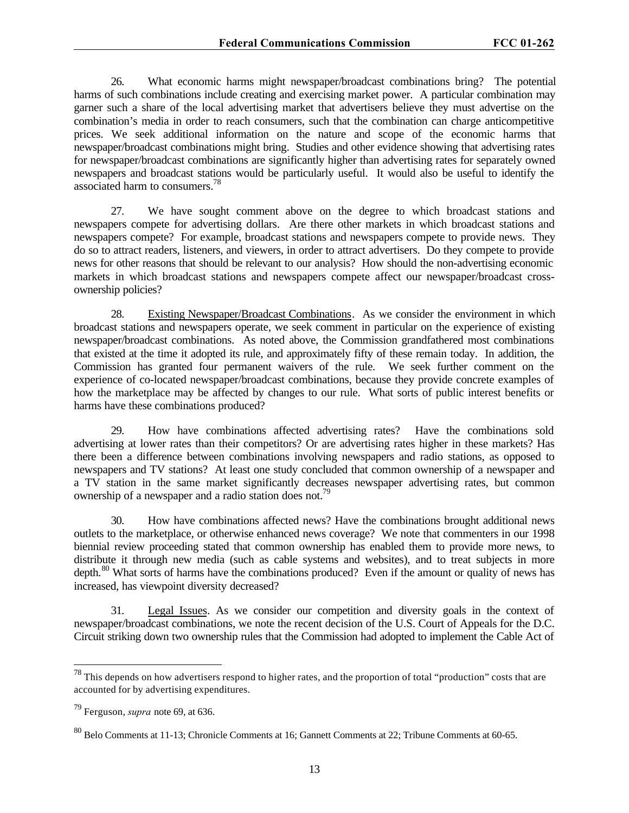26. What economic harms might newspaper/broadcast combinations bring? The potential harms of such combinations include creating and exercising market power. A particular combination may garner such a share of the local advertising market that advertisers believe they must advertise on the combination's media in order to reach consumers, such that the combination can charge anticompetitive prices. We seek additional information on the nature and scope of the economic harms that newspaper/broadcast combinations might bring. Studies and other evidence showing that advertising rates for newspaper/broadcast combinations are significantly higher than advertising rates for separately owned newspapers and broadcast stations would be particularly useful. It would also be useful to identify the associated harm to consumers.<sup>78</sup>

27. We have sought comment above on the degree to which broadcast stations and newspapers compete for advertising dollars. Are there other markets in which broadcast stations and newspapers compete? For example, broadcast stations and newspapers compete to provide news. They do so to attract readers, listeners, and viewers, in order to attract advertisers. Do they compete to provide news for other reasons that should be relevant to our analysis? How should the non-advertising economic markets in which broadcast stations and newspapers compete affect our newspaper/broadcast crossownership policies?

28. Existing Newspaper/Broadcast Combinations. As we consider the environment in which broadcast stations and newspapers operate, we seek comment in particular on the experience of existing newspaper/broadcast combinations. As noted above, the Commission grandfathered most combinations that existed at the time it adopted its rule, and approximately fifty of these remain today. In addition, the Commission has granted four permanent waivers of the rule. We seek further comment on the experience of co-located newspaper/broadcast combinations, because they provide concrete examples of how the marketplace may be affected by changes to our rule. What sorts of public interest benefits or harms have these combinations produced?

29. How have combinations affected advertising rates? Have the combinations sold advertising at lower rates than their competitors? Or are advertising rates higher in these markets? Has there been a difference between combinations involving newspapers and radio stations, as opposed to newspapers and TV stations? At least one study concluded that common ownership of a newspaper and a TV station in the same market significantly decreases newspaper advertising rates, but common ownership of a newspaper and a radio station does not.<sup>79</sup>

30. How have combinations affected news? Have the combinations brought additional news outlets to the marketplace, or otherwise enhanced news coverage? We note that commenters in our 1998 biennial review proceeding stated that common ownership has enabled them to provide more news, to distribute it through new media (such as cable systems and websites), and to treat subjects in more depth.<sup>80</sup> What sorts of harms have the combinations produced? Even if the amount or quality of news has increased, has viewpoint diversity decreased?

31. Legal Issues. As we consider our competition and diversity goals in the context of newspaper/broadcast combinations, we note the recent decision of the U.S. Court of Appeals for the D.C. Circuit striking down two ownership rules that the Commission had adopted to implement the Cable Act of

l

 $^{78}$  This depends on how advertisers respond to higher rates, and the proportion of total "production" costs that are accounted for by advertising expenditures.

<sup>79</sup> Ferguson, *supra* note 69, at 636.

<sup>80</sup> Belo Comments at 11-13; Chronicle Comments at 16; Gannett Comments at 22; Tribune Comments at 60-65.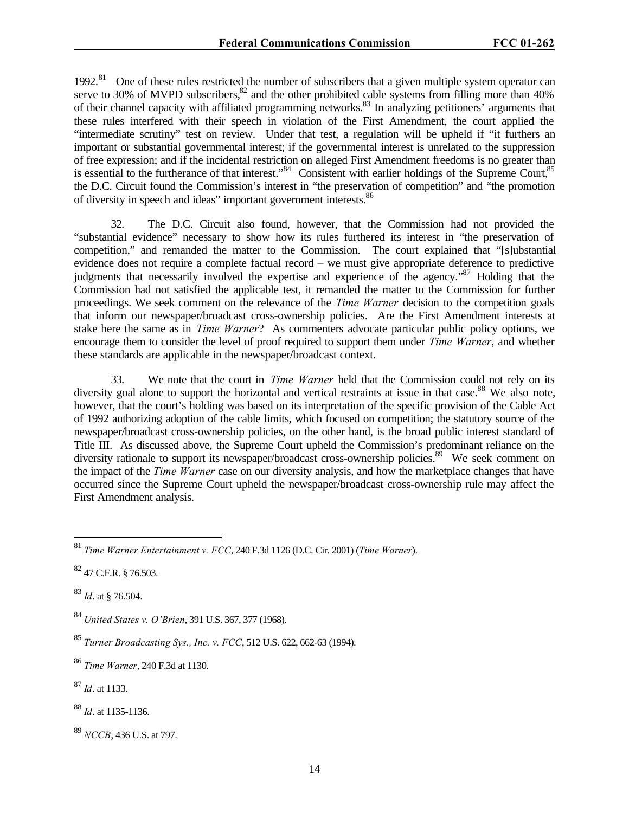1992.<sup>81</sup> One of these rules restricted the number of subscribers that a given multiple system operator can serve to 30% of MVPD subscribers, ${}^{82}$  and the other prohibited cable systems from filling more than 40% of their channel capacity with affiliated programming networks.<sup>83</sup> In analyzing petitioners' arguments that these rules interfered with their speech in violation of the First Amendment, the court applied the "intermediate scrutiny" test on review. Under that test, a regulation will be upheld if "it furthers an important or substantial governmental interest; if the governmental interest is unrelated to the suppression of free expression; and if the incidental restriction on alleged First Amendment freedoms is no greater than is essential to the furtherance of that interest."<sup>84</sup> Consistent with earlier holdings of the Supreme Court,<sup>85</sup> the D.C. Circuit found the Commission's interest in "the preservation of competition" and "the promotion of diversity in speech and ideas" important government interests.<sup>86</sup>

32. The D.C. Circuit also found, however, that the Commission had not provided the "substantial evidence" necessary to show how its rules furthered its interest in "the preservation of competition," and remanded the matter to the Commission. The court explained that "[s]ubstantial evidence does not require a complete factual record – we must give appropriate deference to predictive judgments that necessarily involved the expertise and experience of the agency."<sup>87</sup> Holding that the Commission had not satisfied the applicable test, it remanded the matter to the Commission for further proceedings. We seek comment on the relevance of the *Time Warner* decision to the competition goals that inform our newspaper/broadcast cross-ownership policies. Are the First Amendment interests at stake here the same as in *Time Warner*? As commenters advocate particular public policy options, we encourage them to consider the level of proof required to support them under *Time Warner*, and whether these standards are applicable in the newspaper/broadcast context.

33. We note that the court in *Time Warner* held that the Commission could not rely on its diversity goal alone to support the horizontal and vertical restraints at issue in that case.<sup>88</sup> We also note, however, that the court's holding was based on its interpretation of the specific provision of the Cable Act of 1992 authorizing adoption of the cable limits, which focused on competition; the statutory source of the newspaper/broadcast cross-ownership policies, on the other hand, is the broad public interest standard of Title III. As discussed above, the Supreme Court upheld the Commission's predominant reliance on the diversity rationale to support its newspaper/broadcast cross-ownership policies.<sup>89</sup> We seek comment on the impact of the *Time Warner* case on our diversity analysis, and how the marketplace changes that have occurred since the Supreme Court upheld the newspaper/broadcast cross-ownership rule may affect the First Amendment analysis.

 $\overline{a}$ 

<sup>86</sup> *Time Warner*, 240 F.3d at 1130.

<sup>87</sup> *Id*. at 1133.

<sup>88</sup> *Id*. at 1135-1136.

<sup>81</sup> *Time Warner Entertainment v. FCC*, 240 F.3d 1126 (D.C. Cir. 2001) (*Time Warner*).

 $82$  47 C.F.R. § 76.503.

<sup>83</sup> *Id*. at § 76.504.

<sup>84</sup> *United States v. O'Brien*, 391 U.S. 367, 377 (1968).

<sup>85</sup> *Turner Broadcasting Sys., Inc. v. FCC*, 512 U.S. 622, 662-63 (1994).

<sup>89</sup> *NCCB*, 436 U.S. at 797.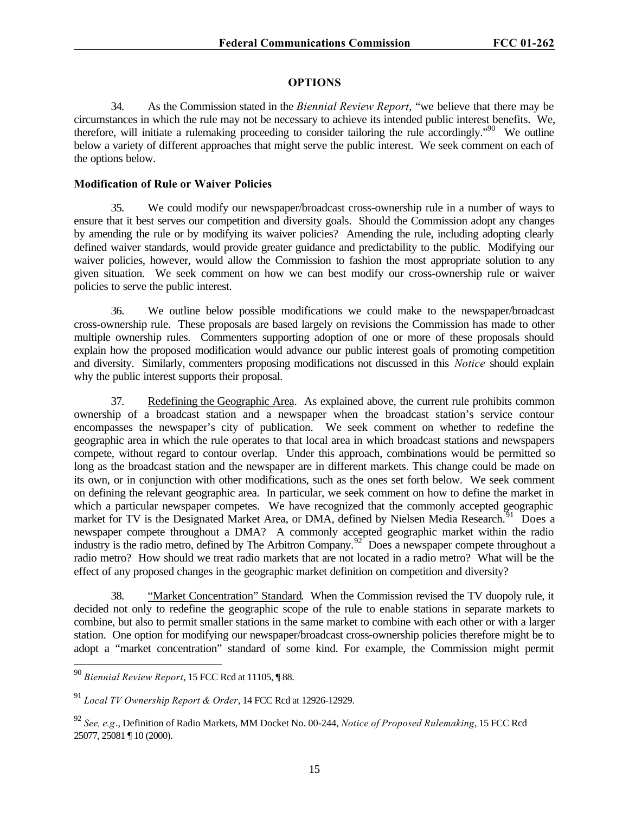### **OPTIONS**

34. As the Commission stated in the *Biennial Review Report*, "we believe that there may be circumstances in which the rule may not be necessary to achieve its intended public interest benefits. We, therefore, will initiate a rulemaking proceeding to consider tailoring the rule accordingly.<sup>"90</sup> We outline below a variety of different approaches that might serve the public interest. We seek comment on each of the options below.

### **Modification of Rule or Waiver Policies**

35. We could modify our newspaper/broadcast cross-ownership rule in a number of ways to ensure that it best serves our competition and diversity goals. Should the Commission adopt any changes by amending the rule or by modifying its waiver policies? Amending the rule, including adopting clearly defined waiver standards, would provide greater guidance and predictability to the public. Modifying our waiver policies, however, would allow the Commission to fashion the most appropriate solution to any given situation. We seek comment on how we can best modify our cross-ownership rule or waiver policies to serve the public interest.

36. We outline below possible modifications we could make to the newspaper/broadcast cross-ownership rule. These proposals are based largely on revisions the Commission has made to other multiple ownership rules. Commenters supporting adoption of one or more of these proposals should explain how the proposed modification would advance our public interest goals of promoting competition and diversity. Similarly, commenters proposing modifications not discussed in this *Notice* should explain why the public interest supports their proposal.

37. Redefining the Geographic Area. As explained above, the current rule prohibits common ownership of a broadcast station and a newspaper when the broadcast station's service contour encompasses the newspaper's city of publication. We seek comment on whether to redefine the geographic area in which the rule operates to that local area in which broadcast stations and newspapers compete, without regard to contour overlap. Under this approach, combinations would be permitted so long as the broadcast station and the newspaper are in different markets. This change could be made on its own, or in conjunction with other modifications, such as the ones set forth below. We seek comment on defining the relevant geographic area. In particular, we seek comment on how to define the market in which a particular newspaper competes. We have recognized that the commonly accepted geographic market for TV is the Designated Market Area, or DMA, defined by Nielsen Media Research.<sup>91</sup> Does a newspaper compete throughout a DMA? A commonly accepted geographic market within the radio industry is the radio metro, defined by The Arbitron Company.<sup>92</sup> Does a newspaper compete throughout a radio metro? How should we treat radio markets that are not located in a radio metro? What will be the effect of any proposed changes in the geographic market definition on competition and diversity?

38. "Market Concentration" Standard. When the Commission revised the TV duopoly rule, it decided not only to redefine the geographic scope of the rule to enable stations in separate markets to combine, but also to permit smaller stations in the same market to combine with each other or with a larger station. One option for modifying our newspaper/broadcast cross-ownership policies therefore might be to adopt a "market concentration" standard of some kind. For example, the Commission might permit

<sup>90</sup> *Biennial Review Report*, 15 FCC Rcd at 11105, ¶ 88.

<sup>91</sup> *Local TV Ownership Report & Order*, 14 FCC Rcd at 12926-12929.

<sup>92</sup> *See, e.g*., Definition of Radio Markets, MM Docket No. 00-244, *Notice of Proposed Rulemaking*, 15 FCC Rcd 25077, 25081 ¶ 10 (2000).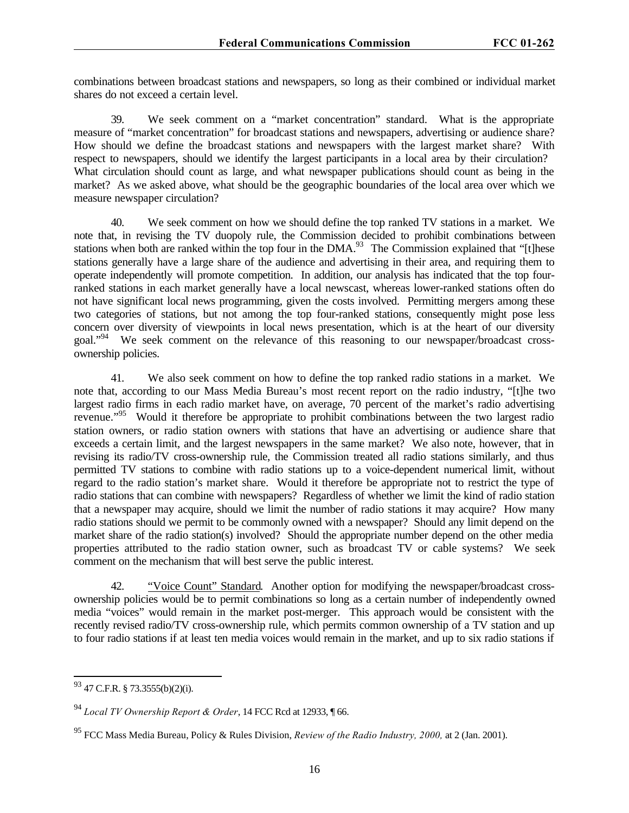combinations between broadcast stations and newspapers, so long as their combined or individual market shares do not exceed a certain level.

39. We seek comment on a "market concentration" standard. What is the appropriate measure of "market concentration" for broadcast stations and newspapers, advertising or audience share? How should we define the broadcast stations and newspapers with the largest market share? With respect to newspapers, should we identify the largest participants in a local area by their circulation? What circulation should count as large, and what newspaper publications should count as being in the market? As we asked above, what should be the geographic boundaries of the local area over which we measure newspaper circulation?

40. We seek comment on how we should define the top ranked TV stations in a market. We note that, in revising the TV duopoly rule, the Commission decided to prohibit combinations between stations when both are ranked within the top four in the DMA.<sup>93</sup> The Commission explained that "[t]hese stations generally have a large share of the audience and advertising in their area, and requiring them to operate independently will promote competition. In addition, our analysis has indicated that the top fourranked stations in each market generally have a local newscast, whereas lower-ranked stations often do not have significant local news programming, given the costs involved. Permitting mergers among these two categories of stations, but not among the top four-ranked stations, consequently might pose less concern over diversity of viewpoints in local news presentation, which is at the heart of our diversity goal."<sup>94</sup> We seek comment on the relevance of this reasoning to our newspaper/broadcast crossownership policies.

41. We also seek comment on how to define the top ranked radio stations in a market. We note that, according to our Mass Media Bureau's most recent report on the radio industry, "[t]he two largest radio firms in each radio market have, on average, 70 percent of the market's radio advertising revenue."<sup>95</sup> Would it therefore be appropriate to prohibit combinations between the two largest radio station owners, or radio station owners with stations that have an advertising or audience share that exceeds a certain limit, and the largest newspapers in the same market? We also note, however, that in revising its radio/TV cross-ownership rule, the Commission treated all radio stations similarly, and thus permitted TV stations to combine with radio stations up to a voice-dependent numerical limit, without regard to the radio station's market share. Would it therefore be appropriate not to restrict the type of radio stations that can combine with newspapers? Regardless of whether we limit the kind of radio station that a newspaper may acquire, should we limit the number of radio stations it may acquire? How many radio stations should we permit to be commonly owned with a newspaper? Should any limit depend on the market share of the radio station(s) involved? Should the appropriate number depend on the other media properties attributed to the radio station owner, such as broadcast TV or cable systems? We seek comment on the mechanism that will best serve the public interest.

42. "Voice Count" Standard. Another option for modifying the newspaper/broadcast crossownership policies would be to permit combinations so long as a certain number of independently owned media "voices" would remain in the market post-merger. This approach would be consistent with the recently revised radio/TV cross-ownership rule, which permits common ownership of a TV station and up to four radio stations if at least ten media voices would remain in the market, and up to six radio stations if

 $\overline{a}$  $93$  47 C.F.R. § 73.3555(b)(2)(i).

<sup>94</sup> *Local TV Ownership Report & Order*, 14 FCC Rcd at 12933, ¶ 66.

<sup>95</sup> FCC Mass Media Bureau, Policy & Rules Division, *Review of the Radio Industry, 2000,* at 2 (Jan. 2001).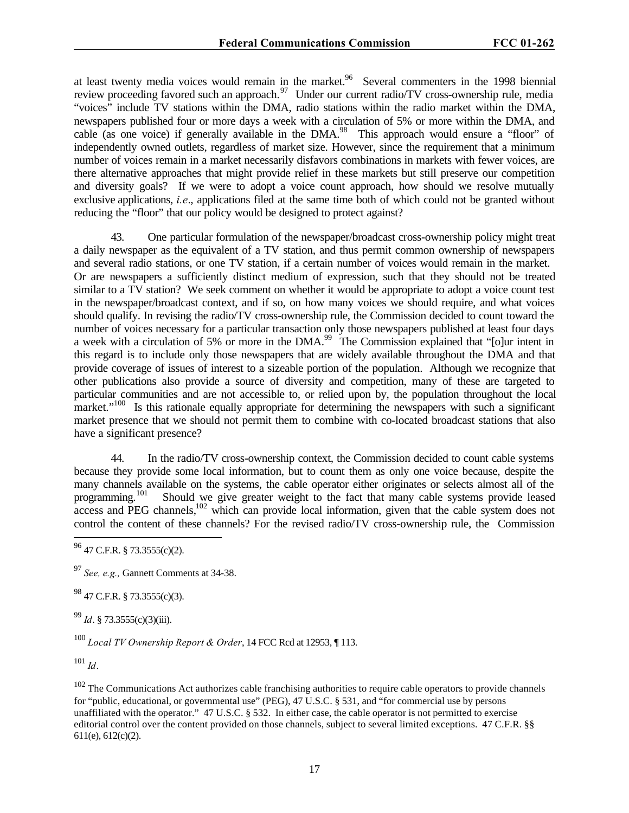at least twenty media voices would remain in the market.<sup>96</sup> Several commenters in the 1998 biennial review proceeding favored such an approach.<sup>97</sup> Under our current radio/TV cross-ownership rule, media "voices" include TV stations within the DMA, radio stations within the radio market within the DMA, newspapers published four or more days a week with a circulation of 5% or more within the DMA, and cable (as one voice) if generally available in the DMA.<sup>98</sup> This approach would ensure a "floor" of independently owned outlets, regardless of market size. However, since the requirement that a minimum number of voices remain in a market necessarily disfavors combinations in markets with fewer voices, are there alternative approaches that might provide relief in these markets but still preserve our competition and diversity goals? If we were to adopt a voice count approach, how should we resolve mutually exclusive applications, *i.e*., applications filed at the same time both of which could not be granted without reducing the "floor" that our policy would be designed to protect against?

43. One particular formulation of the newspaper/broadcast cross-ownership policy might treat a daily newspaper as the equivalent of a TV station, and thus permit common ownership of newspapers and several radio stations, or one TV station, if a certain number of voices would remain in the market. Or are newspapers a sufficiently distinct medium of expression, such that they should not be treated similar to a TV station? We seek comment on whether it would be appropriate to adopt a voice count test in the newspaper/broadcast context, and if so, on how many voices we should require, and what voices should qualify. In revising the radio/TV cross-ownership rule, the Commission decided to count toward the number of voices necessary for a particular transaction only those newspapers published at least four days a week with a circulation of 5% or more in the DMA.<sup>99</sup> The Commission explained that "[o]ur intent in this regard is to include only those newspapers that are widely available throughout the DMA and that provide coverage of issues of interest to a sizeable portion of the population. Although we recognize that other publications also provide a source of diversity and competition, many of these are targeted to particular communities and are not accessible to, or relied upon by, the population throughout the local market."<sup>100</sup> Is this rationale equally appropriate for determining the newspapers with such a significant market presence that we should not permit them to combine with co-located broadcast stations that also have a significant presence?

44. In the radio/TV cross-ownership context, the Commission decided to count cable systems because they provide some local information, but to count them as only one voice because, despite the many channels available on the systems, the cable operator either originates or selects almost all of the programming.<sup>101</sup> Should we give greater weight to the fact that many cable systems provide leased Should we give greater weight to the fact that many cable systems provide leased access and PEG channels,<sup>102</sup> which can provide local information, given that the cable system does not control the content of these channels? For the revised radio/TV cross-ownership rule, the Commission

 $^{98}$  47 C.F.R. § 73.3555(c)(3).

<sup>99</sup> *Id*. § 73.3555(c)(3)(iii).

<sup>100</sup> *Local TV Ownership Report & Order*, 14 FCC Rcd at 12953, ¶ 113.

<sup>101</sup> *Id*.

 $\overline{a}$ 

 $102$  The Communications Act authorizes cable franchising authorities to require cable operators to provide channels for "public, educational, or governmental use" (PEG), 47 U.S.C. § 531, and "for commercial use by persons unaffiliated with the operator." 47 U.S.C. § 532. In either case, the cable operator is not permitted to exercise editorial control over the content provided on those channels, subject to several limited exceptions. 47 C.F.R. §§ 611(e), 612(c)(2).

 $96$  47 C.F.R. § 73.3555(c)(2).

<sup>97</sup> *See, e.g.,* Gannett Comments at 34-38.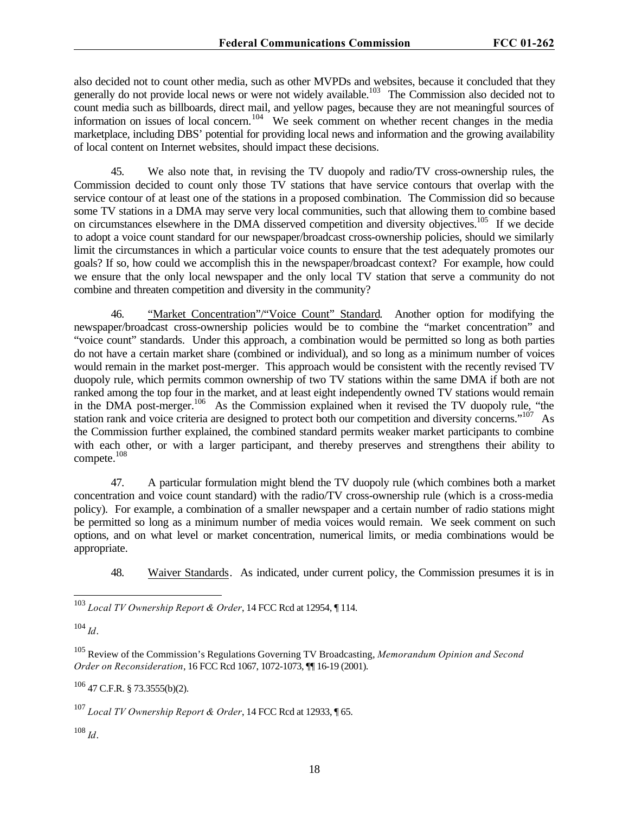also decided not to count other media, such as other MVPDs and websites, because it concluded that they generally do not provide local news or were not widely available.<sup>103</sup> The Commission also decided not to count media such as billboards, direct mail, and yellow pages, because they are not meaningful sources of information on issues of local concern.<sup>104</sup> We seek comment on whether recent changes in the media marketplace, including DBS' potential for providing local news and information and the growing availability of local content on Internet websites, should impact these decisions.

45. We also note that, in revising the TV duopoly and radio/TV cross-ownership rules, the Commission decided to count only those TV stations that have service contours that overlap with the service contour of at least one of the stations in a proposed combination. The Commission did so because some TV stations in a DMA may serve very local communities, such that allowing them to combine based on circumstances elsewhere in the DMA disserved competition and diversity objectives.<sup>105</sup> If we decide to adopt a voice count standard for our newspaper/broadcast cross-ownership policies, should we similarly limit the circumstances in which a particular voice counts to ensure that the test adequately promotes our goals? If so, how could we accomplish this in the newspaper/broadcast context? For example, how could we ensure that the only local newspaper and the only local TV station that serve a community do not combine and threaten competition and diversity in the community?

46. "Market Concentration"/"Voice Count" Standard. Another option for modifying the newspaper/broadcast cross-ownership policies would be to combine the "market concentration" and "voice count" standards. Under this approach, a combination would be permitted so long as both parties do not have a certain market share (combined or individual), and so long as a minimum number of voices would remain in the market post-merger. This approach would be consistent with the recently revised TV duopoly rule, which permits common ownership of two TV stations within the same DMA if both are not ranked among the top four in the market, and at least eight independently owned TV stations would remain in the DMA post-merger.<sup>106</sup> As the Commission explained when it revised the TV duopoly rule, "the station rank and voice criteria are designed to protect both our competition and diversity concerns."<sup>107</sup> As the Commission further explained, the combined standard permits weaker market participants to combine with each other, or with a larger participant, and thereby preserves and strengthens their ability to compete.<sup>108</sup>

47. A particular formulation might blend the TV duopoly rule (which combines both a market concentration and voice count standard) with the radio/TV cross-ownership rule (which is a cross-media policy). For example, a combination of a smaller newspaper and a certain number of radio stations might be permitted so long as a minimum number of media voices would remain. We seek comment on such options, and on what level or market concentration, numerical limits, or media combinations would be appropriate.

48. Waiver Standards. As indicated, under current policy, the Commission presumes it is in

<sup>104</sup> *Id*.

 $\overline{a}$ 

<sup>105</sup> Review of the Commission's Regulations Governing TV Broadcasting, *Memorandum Opinion and Second Order on Reconsideration*, 16 FCC Rcd 1067, 1072-1073, ¶¶ 16-19 (2001).

<sup>106</sup> 47 C.F.R. § 73.3555(b)(2).

<sup>107</sup> *Local TV Ownership Report & Order*, 14 FCC Rcd at 12933, ¶ 65.

 $108$  *Id*.

<sup>103</sup> *Local TV Ownership Report & Order*, 14 FCC Rcd at 12954, ¶ 114.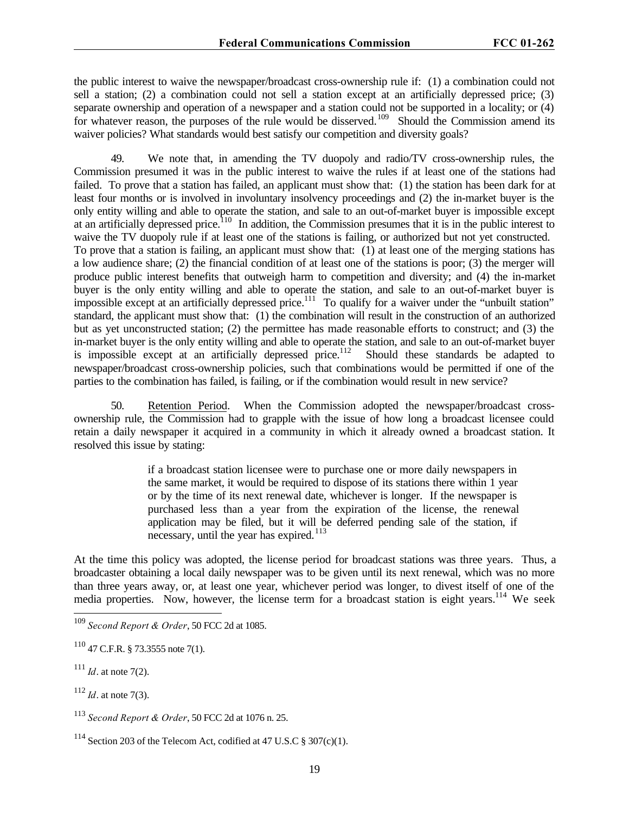the public interest to waive the newspaper/broadcast cross-ownership rule if: (1) a combination could not sell a station; (2) a combination could not sell a station except at an artificially depressed price; (3) separate ownership and operation of a newspaper and a station could not be supported in a locality; or (4) for whatever reason, the purposes of the rule would be disserved.<sup>109</sup> Should the Commission amend its waiver policies? What standards would best satisfy our competition and diversity goals?

49. We note that, in amending the TV duopoly and radio/TV cross-ownership rules, the Commission presumed it was in the public interest to waive the rules if at least one of the stations had failed. To prove that a station has failed, an applicant must show that: (1) the station has been dark for at least four months or is involved in involuntary insolvency proceedings and (2) the in-market buyer is the only entity willing and able to operate the station, and sale to an out-of-market buyer is impossible except at an artificially depressed price.<sup>110</sup> In addition, the Commission presumes that it is in the public interest to waive the TV duopoly rule if at least one of the stations is failing, or authorized but not yet constructed. To prove that a station is failing, an applicant must show that: (1) at least one of the merging stations has a low audience share; (2) the financial condition of at least one of the stations is poor; (3) the merger will produce public interest benefits that outweigh harm to competition and diversity; and (4) the in-market buyer is the only entity willing and able to operate the station, and sale to an out-of-market buyer is impossible except at an artificially depressed price.<sup>111</sup> To qualify for a waiver under the "unbuilt station" standard, the applicant must show that: (1) the combination will result in the construction of an authorized but as yet unconstructed station; (2) the permittee has made reasonable efforts to construct; and (3) the in-market buyer is the only entity willing and able to operate the station, and sale to an out-of-market buyer is impossible except at an artificially depressed price.<sup>112</sup> Should these standards be adapted to newspaper/broadcast cross-ownership policies, such that combinations would be permitted if one of the parties to the combination has failed, is failing, or if the combination would result in new service?

50. Retention Period. When the Commission adopted the newspaper/broadcast crossownership rule, the Commission had to grapple with the issue of how long a broadcast licensee could retain a daily newspaper it acquired in a community in which it already owned a broadcast station. It resolved this issue by stating:

> if a broadcast station licensee were to purchase one or more daily newspapers in the same market, it would be required to dispose of its stations there within 1 year or by the time of its next renewal date, whichever is longer. If the newspaper is purchased less than a year from the expiration of the license, the renewal application may be filed, but it will be deferred pending sale of the station, if necessary, until the year has expired. $113$

At the time this policy was adopted, the license period for broadcast stations was three years. Thus, a broadcaster obtaining a local daily newspaper was to be given until its next renewal, which was no more than three years away, or, at least one year, whichever period was longer, to divest itself of one of the media properties. Now, however, the license term for a broadcast station is eight years.<sup>114</sup> We seek

<sup>109</sup> *Second Report & Order*, 50 FCC 2d at 1085.

 $110$  47 C.F.R. § 73.3555 note 7(1).

 $111$  *Id.* at note 7(2).

<sup>112</sup> *Id*. at note 7(3).

<sup>113</sup> *Second Report & Order*, 50 FCC 2d at 1076 n. 25.

<sup>&</sup>lt;sup>114</sup> Section 203 of the Telecom Act, codified at 47 U.S.C  $\S 307(c)(1)$ .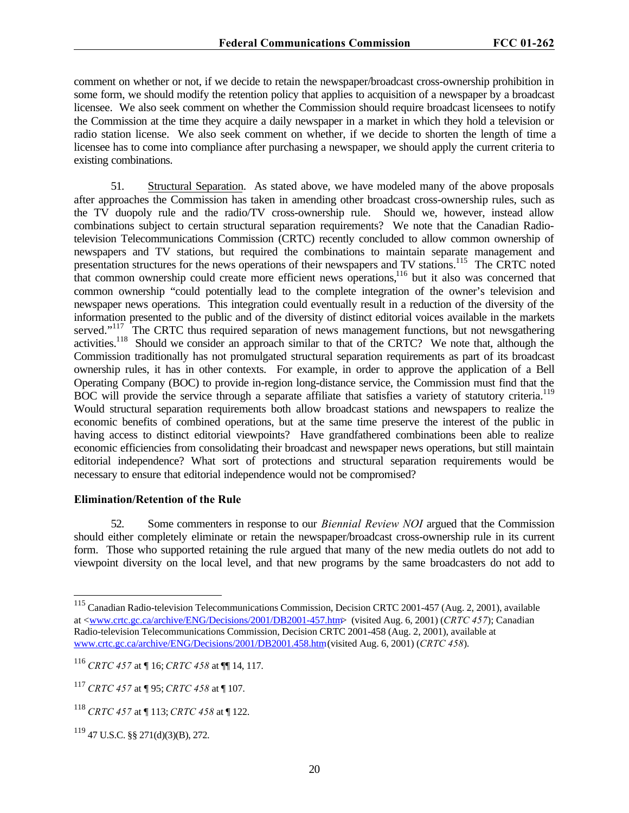comment on whether or not, if we decide to retain the newspaper/broadcast cross-ownership prohibition in some form, we should modify the retention policy that applies to acquisition of a newspaper by a broadcast licensee. We also seek comment on whether the Commission should require broadcast licensees to notify the Commission at the time they acquire a daily newspaper in a market in which they hold a television or radio station license. We also seek comment on whether, if we decide to shorten the length of time a licensee has to come into compliance after purchasing a newspaper, we should apply the current criteria to existing combinations.

51. Structural Separation. As stated above, we have modeled many of the above proposals after approaches the Commission has taken in amending other broadcast cross-ownership rules, such as the TV duopoly rule and the radio/TV cross-ownership rule. Should we, however, instead allow combinations subject to certain structural separation requirements? We note that the Canadian Radiotelevision Telecommunications Commission (CRTC) recently concluded to allow common ownership of newspapers and TV stations, but required the combinations to maintain separate management and presentation structures for the news operations of their newspapers and TV stations.<sup>115</sup> The CRTC noted that common ownership could create more efficient news operations,<sup>116</sup> but it also was concerned that common ownership "could potentially lead to the complete integration of the owner's television and newspaper news operations. This integration could eventually result in a reduction of the diversity of the information presented to the public and of the diversity of distinct editorial voices available in the markets served."<sup>117</sup> The CRTC thus required separation of news management functions, but not newsgathering activities.<sup>118</sup> Should we consider an approach similar to that of the CRTC? We note that, although the Commission traditionally has not promulgated structural separation requirements as part of its broadcast ownership rules, it has in other contexts. For example, in order to approve the application of a Bell Operating Company (BOC) to provide in-region long-distance service, the Commission must find that the BOC will provide the service through a separate affiliate that satisfies a variety of statutory criteria.<sup>119</sup> Would structural separation requirements both allow broadcast stations and newspapers to realize the economic benefits of combined operations, but at the same time preserve the interest of the public in having access to distinct editorial viewpoints? Have grandfathered combinations been able to realize economic efficiencies from consolidating their broadcast and newspaper news operations, but still maintain editorial independence? What sort of protections and structural separation requirements would be necessary to ensure that editorial independence would not be compromised?

#### **Elimination/Retention of the Rule**

52. Some commenters in response to our *Biennial Review NOI* argued that the Commission should either completely eliminate or retain the newspaper/broadcast cross-ownership rule in its current form. Those who supported retaining the rule argued that many of the new media outlets do not add to viewpoint diversity on the local level, and that new programs by the same broadcasters do not add to

<sup>&</sup>lt;sup>115</sup> Canadian Radio-television Telecommunications Commission, Decision CRTC 2001-457 (Aug. 2, 2001), available at <www.crtc.gc.ca/archive/ENG/Decisions/2001/DB2001-457.htm> (visited Aug. 6, 2001) (*CRTC 457*); Canadian Radio-television Telecommunications Commission, Decision CRTC 2001-458 (Aug. 2, 2001), available at www.crtc.gc.ca/archive/ENG/Decisions/2001/DB2001.458.htm (visited Aug. 6, 2001) (*CRTC 458*).

<sup>116</sup> *CRTC 457* at ¶ 16; *CRTC 458* at ¶¶ 14, 117.

<sup>117</sup> *CRTC 457* at ¶ 95; *CRTC 458* at ¶ 107.

<sup>118</sup> *CRTC 457* at ¶ 113; *CRTC 458* at ¶ 122.

<sup>119</sup> 47 U.S.C. §§ 271(d)(3)(B), 272.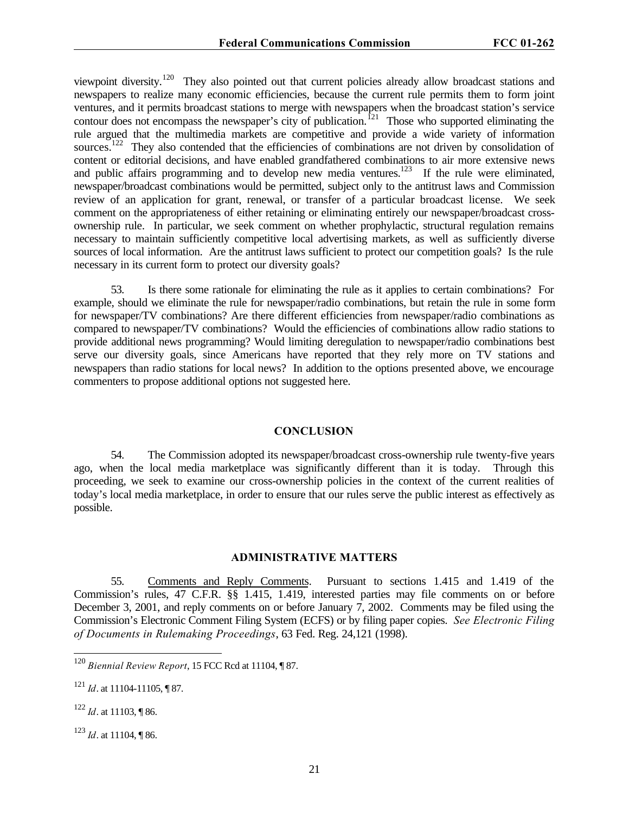viewpoint diversity.<sup>120</sup> They also pointed out that current policies already allow broadcast stations and newspapers to realize many economic efficiencies, because the current rule permits them to form joint ventures, and it permits broadcast stations to merge with newspapers when the broadcast station's service contour does not encompass the newspaper's city of publication.<sup>121</sup> Those who supported eliminating the rule argued that the multimedia markets are competitive and provide a wide variety of information sources.<sup>122</sup> They also contended that the efficiencies of combinations are not driven by consolidation of content or editorial decisions, and have enabled grandfathered combinations to air more extensive news and public affairs programming and to develop new media ventures.<sup>123</sup> If the rule were eliminated, newspaper/broadcast combinations would be permitted, subject only to the antitrust laws and Commission review of an application for grant, renewal, or transfer of a particular broadcast license. We seek comment on the appropriateness of either retaining or eliminating entirely our newspaper/broadcast crossownership rule. In particular, we seek comment on whether prophylactic, structural regulation remains necessary to maintain sufficiently competitive local advertising markets, as well as sufficiently diverse sources of local information. Are the antitrust laws sufficient to protect our competition goals? Is the rule necessary in its current form to protect our diversity goals?

53. Is there some rationale for eliminating the rule as it applies to certain combinations? For example, should we eliminate the rule for newspaper/radio combinations, but retain the rule in some form for newspaper/TV combinations? Are there different efficiencies from newspaper/radio combinations as compared to newspaper/TV combinations? Would the efficiencies of combinations allow radio stations to provide additional news programming? Would limiting deregulation to newspaper/radio combinations best serve our diversity goals, since Americans have reported that they rely more on TV stations and newspapers than radio stations for local news? In addition to the options presented above, we encourage commenters to propose additional options not suggested here.

#### **CONCLUSION**

54. The Commission adopted its newspaper/broadcast cross-ownership rule twenty-five years ago, when the local media marketplace was significantly different than it is today. Through this proceeding, we seek to examine our cross-ownership policies in the context of the current realities of today's local media marketplace, in order to ensure that our rules serve the public interest as effectively as possible.

#### **ADMINISTRATIVE MATTERS**

55. Comments and Reply Comments. Pursuant to sections 1.415 and 1.419 of the Commission's rules, 47 C.F.R. §§ 1.415, 1.419, interested parties may file comments on or before December 3, 2001, and reply comments on or before January 7, 2002. Comments may be filed using the Commission's Electronic Comment Filing System (ECFS) or by filing paper copies. *See Electronic Filing of Documents in Rulemaking Proceedings*, 63 Fed. Reg. 24,121 (1998).

<sup>122</sup> *Id*. at 11103, ¶ 86.

 $\overline{a}$ 

<sup>123</sup> *Id*. at 11104, ¶ 86.

<sup>120</sup> *Biennial Review Report*, 15 FCC Rcd at 11104, ¶ 87.

<sup>121</sup> *Id*. at 11104-11105, ¶ 87.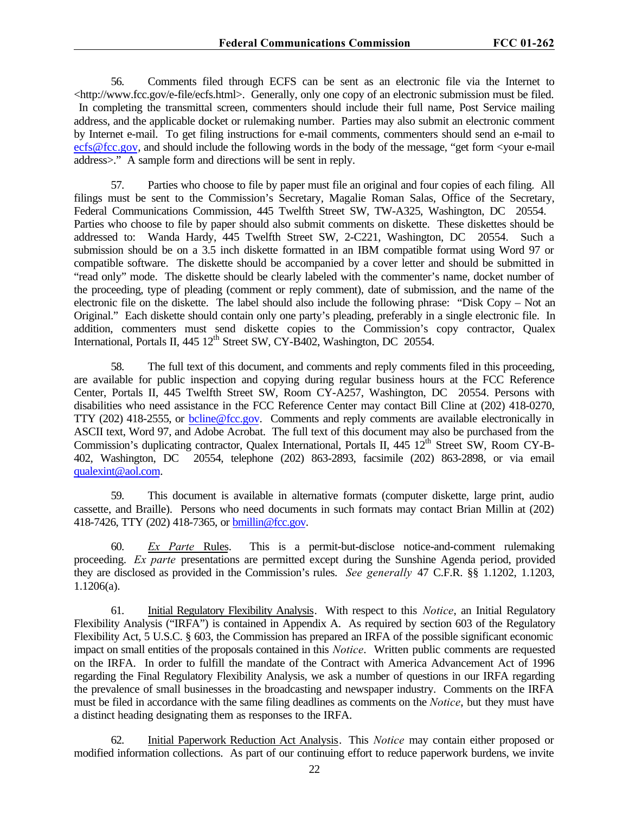56. Comments filed through ECFS can be sent as an electronic file via the Internet to <http://www.fcc.gov/e-file/ecfs.html>. Generally, only one copy of an electronic submission must be filed. In completing the transmittal screen, commenters should include their full name, Post Service mailing address, and the applicable docket or rulemaking number. Parties may also submit an electronic comment by Internet e-mail. To get filing instructions for e-mail comments, commenters should send an e-mail to ecfs@fcc.gov, and should include the following words in the body of the message, "get form <your e-mail address>." A sample form and directions will be sent in reply.

57. Parties who choose to file by paper must file an original and four copies of each filing. All filings must be sent to the Commission's Secretary, Magalie Roman Salas, Office of the Secretary, Federal Communications Commission, 445 Twelfth Street SW, TW-A325, Washington, DC 20554. Parties who choose to file by paper should also submit comments on diskette. These diskettes should be addressed to: Wanda Hardy, 445 Twelfth Street SW, 2-C221, Washington, DC 20554. Such a submission should be on a 3.5 inch diskette formatted in an IBM compatible format using Word 97 or compatible software. The diskette should be accompanied by a cover letter and should be submitted in "read only" mode. The diskette should be clearly labeled with the commenter's name, docket number of the proceeding, type of pleading (comment or reply comment), date of submission, and the name of the electronic file on the diskette. The label should also include the following phrase: "Disk Copy – Not an Original." Each diskette should contain only one party's pleading, preferably in a single electronic file. In addition, commenters must send diskette copies to the Commission's copy contractor, Qualex International, Portals II, 445 12<sup>th</sup> Street SW, CY-B402, Washington, DC 20554.

58. The full text of this document, and comments and reply comments filed in this proceeding, are available for public inspection and copying during regular business hours at the FCC Reference Center, Portals II, 445 Twelfth Street SW, Room CY-A257, Washington, DC 20554. Persons with disabilities who need assistance in the FCC Reference Center may contact Bill Cline at (202) 418-0270, TTY (202) 418-2555, or bcline@fcc.gov. Comments and reply comments are available electronically in ASCII text, Word 97, and Adobe Acrobat. The full text of this document may also be purchased from the Commission's duplicating contractor, Qualex International, Portals II, 445 12<sup>th</sup> Street SW, Room CY-B-402, Washington, DC 20554, telephone (202) 863-2893, facsimile (202) 863-2898, or via email qualexint@aol.com.

59. This document is available in alternative formats (computer diskette, large print, audio cassette, and Braille). Persons who need documents in such formats may contact Brian Millin at (202) 418-7426, TTY (202) 418-7365, or bmillin@fcc.gov.

60. *Ex Parte* Rules. This is a permit-but-disclose notice-and-comment rulemaking proceeding. *Ex parte* presentations are permitted except during the Sunshine Agenda period, provided they are disclosed as provided in the Commission's rules. *See generally* 47 C.F.R. §§ 1.1202, 1.1203, 1.1206(a).

61. Initial Regulatory Flexibility Analysis. With respect to this *Notice*, an Initial Regulatory Flexibility Analysis ("IRFA") is contained in Appendix A. As required by section 603 of the Regulatory Flexibility Act, 5 U.S.C. § 603, the Commission has prepared an IRFA of the possible significant economic impact on small entities of the proposals contained in this *Notice*. Written public comments are requested on the IRFA. In order to fulfill the mandate of the Contract with America Advancement Act of 1996 regarding the Final Regulatory Flexibility Analysis, we ask a number of questions in our IRFA regarding the prevalence of small businesses in the broadcasting and newspaper industry. Comments on the IRFA must be filed in accordance with the same filing deadlines as comments on the *Notice*, but they must have a distinct heading designating them as responses to the IRFA.

62. Initial Paperwork Reduction Act Analysis. This *Notice* may contain either proposed or modified information collections. As part of our continuing effort to reduce paperwork burdens, we invite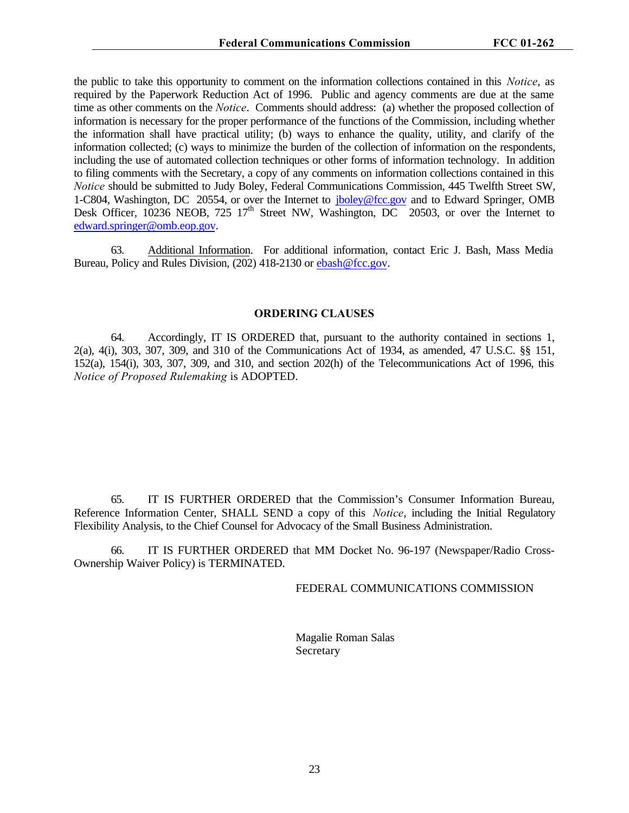the public to take this opportunity to comment on the information collections contained in this *Notice*, as required by the Paperwork Reduction Act of 1996. Public and agency comments are due at the same time as other comments on the *Notice*. Comments should address: (a) whether the proposed collection of information is necessary for the proper performance of the functions of the Commission, including whether the information shall have practical utility; (b) ways to enhance the quality, utility, and clarify of the information collected; (c) ways to minimize the burden of the collection of information on the respondents, including the use of automated collection techniques or other forms of information technology. In addition to filing comments with the Secretary, a copy of any comments on information collections contained in this *Notice* should be submitted to Judy Boley, Federal Communications Commission, 445 Twelfth Street SW, 1-C804, Washington, DC 20554, or over the Internet to jboley@fcc.gov and to Edward Springer, OMB Desk Officer,  $10236$  NEOB,  $725 \frac{17}{th}$  Street NW, Washington, DC 20503, or over the Internet to edward.springer@omb.eop.gov.

63. Additional Information. For additional information, contact Eric J. Bash, Mass Media Bureau, Policy and Rules Division, (202) 418-2130 or ebash@fcc.gov.

### **ORDERING CLAUSES**

64. Accordingly, IT IS ORDERED that, pursuant to the authority contained in sections 1, 2(a), 4(i), 303, 307, 309, and 310 of the Communications Act of 1934, as amended, 47 U.S.C. §§ 151, 152(a), 154(i), 303, 307, 309, and 310, and section 202(h) of the Telecommunications Act of 1996, this *Notice of Proposed Rulemaking* is ADOPTED.

65. IT IS FURTHER ORDERED that the Commission's Consumer Information Bureau, Reference Information Center, SHALL SEND a copy of this *Notice*, including the Initial Regulatory Flexibility Analysis, to the Chief Counsel for Advocacy of the Small Business Administration.

66. IT IS FURTHER ORDERED that MM Docket No. 96-197 (Newspaper/Radio Cross-Ownership Waiver Policy) is TERMINATED.

### FEDERAL COMMUNICATIONS COMMISSION

Magalie Roman Salas Secretary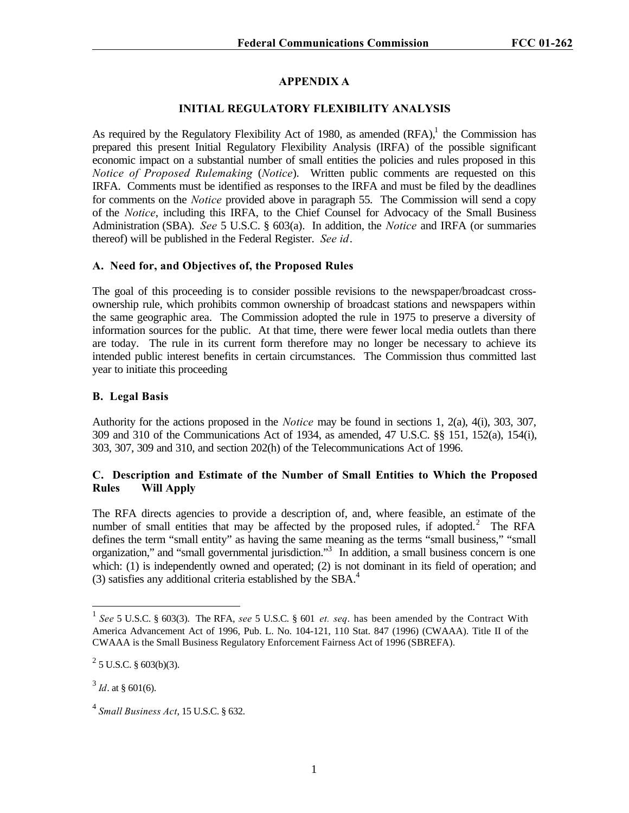# **APPENDIX A**

### **INITIAL REGULATORY FLEXIBILITY ANALYSIS**

As required by the Regulatory Flexibility Act of 1980, as amended  $(RFA)$ , the Commission has prepared this present Initial Regulatory Flexibility Analysis (IRFA) of the possible significant economic impact on a substantial number of small entities the policies and rules proposed in this *Notice of Proposed Rulemaking (Notice).* Written public comments are requested on this IRFA. Comments must be identified as responses to the IRFA and must be filed by the deadlines for comments on the *Notice* provided above in paragraph 55. The Commission will send a copy of the *Notice*, including this IRFA, to the Chief Counsel for Advocacy of the Small Business Administration (SBA). *See* 5 U.S.C. § 603(a). In addition, the *Notice* and IRFA (or summaries thereof) will be published in the Federal Register. *See id*.

# **A. Need for, and Objectives of, the Proposed Rules**

The goal of this proceeding is to consider possible revisions to the newspaper/broadcast crossownership rule, which prohibits common ownership of broadcast stations and newspapers within the same geographic area. The Commission adopted the rule in 1975 to preserve a diversity of information sources for the public. At that time, there were fewer local media outlets than there are today. The rule in its current form therefore may no longer be necessary to achieve its intended public interest benefits in certain circumstances. The Commission thus committed last year to initiate this proceeding

### **B. Legal Basis**

Authority for the actions proposed in the *Notice* may be found in sections 1, 2(a), 4(i), 303, 307, 309 and 310 of the Communications Act of 1934, as amended, 47 U.S.C. §§ 151, 152(a), 154(i), 303, 307, 309 and 310, and section 202(h) of the Telecommunications Act of 1996.

# **C. Description and Estimate of the Number of Small Entities to Which the Proposed Rules Will Apply**

The RFA directs agencies to provide a description of, and, where feasible, an estimate of the number of small entities that may be affected by the proposed rules, if adopted.<sup>2</sup> The RFA defines the term "small entity" as having the same meaning as the terms "small business," "small organization," and "small governmental jurisdiction."<sup>3</sup> In addition, a small business concern is one which: (1) is independently owned and operated; (2) is not dominant in its field of operation; and (3) satisfies any additional criteria established by the SBA.<sup>4</sup>

 1 *See* 5 U.S.C. § 603(3). The RFA, *see* 5 U.S.C. § 601 *et. seq*. has been amended by the Contract With America Advancement Act of 1996, Pub. L. No. 104-121, 110 Stat. 847 (1996) (CWAAA). Title II of the CWAAA is the Small Business Regulatory Enforcement Fairness Act of 1996 (SBREFA).

 $2^2$  5 U.S.C. § 603(b)(3).

 $3^3$  *Id*. at § 601(6).

<sup>4</sup> *Small Business Act*, 15 U.S.C. § 632.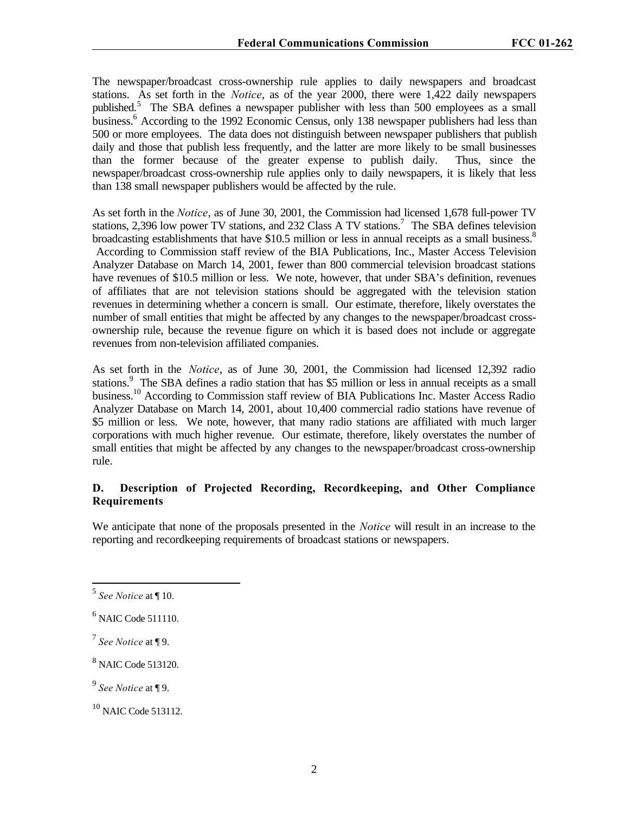The newspaper/broadcast cross-ownership rule applies to daily newspapers and broadcast stations. As set forth in the *Notice*, as of the year 2000, there were 1,422 daily newspapers published.<sup>5</sup> The SBA defines a newspaper publisher with less than 500 employees as a small business.<sup>6</sup> According to the 1992 Economic Census, only 138 newspaper publishers had less than 500 or more employees. The data does not distinguish between newspaper publishers that publish daily and those that publish less frequently, and the latter are more likely to be small businesses than the former because of the greater expense to publish daily. Thus, since the newspaper/broadcast cross-ownership rule applies only to daily newspapers, it is likely that less than 138 small newspaper publishers would be affected by the rule.

As set forth in the *Notice*, as of June 30, 2001, the Commission had licensed 1,678 full-power TV stations, 2,396 low power TV stations, and 232 Class A TV stations.<sup>7</sup> The SBA defines television broadcasting establishments that have \$10.5 million or less in annual receipts as a small business. $8$  According to Commission staff review of the BIA Publications, Inc., Master Access Television Analyzer Database on March 14, 2001, fewer than 800 commercial television broadcast stations have revenues of \$10.5 million or less. We note, however, that under SBA's definition, revenues of affiliates that are not television stations should be aggregated with the television station revenues in determining whether a concern is small. Our estimate, therefore, likely overstates the number of small entities that might be affected by any changes to the newspaper/broadcast crossownership rule, because the revenue figure on which it is based does not include or aggregate revenues from non-television affiliated companies.

As set forth in the *Notice*, as of June 30, 2001, the Commission had licensed 12,392 radio stations.<sup>9</sup> The SBA defines a radio station that has \$5 million or less in annual receipts as a small business.<sup>10</sup> According to Commission staff review of BIA Publications Inc. Master Access Radio Analyzer Database on March 14, 2001, about 10,400 commercial radio stations have revenue of \$5 million or less. We note, however, that many radio stations are affiliated with much larger corporations with much higher revenue. Our estimate, therefore, likely overstates the number of small entities that might be affected by any changes to the newspaper/broadcast cross-ownership rule.

# **D. Description of Projected Recording, Recordkeeping, and Other Compliance Requirements**

We anticipate that none of the proposals presented in the *Notice* will result in an increase to the reporting and recordkeeping requirements of broadcast stations or newspapers.

 5 *See Notice* at ¶ 10.

<sup>&</sup>lt;sup>6</sup> NAIC Code 511110.

<sup>7</sup> *See Notice* at ¶ 9.

<sup>8</sup> NAIC Code 513120.

<sup>9</sup> *See Notice* at ¶ 9.

 $10$  NAIC Code 513112.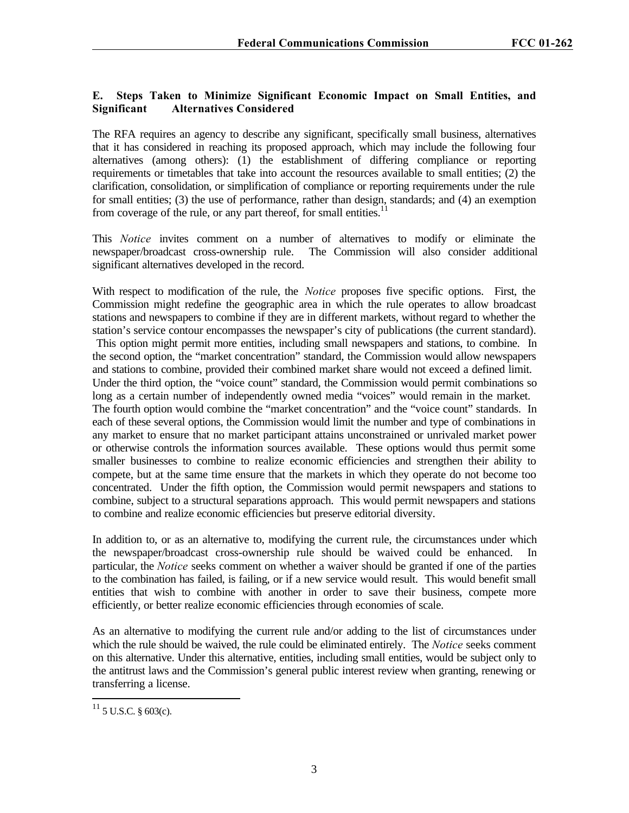# **E. Steps Taken to Minimize Significant Economic Impact on Small Entities, and Significant Alternatives Considered**

The RFA requires an agency to describe any significant, specifically small business, alternatives that it has considered in reaching its proposed approach, which may include the following four alternatives (among others): (1) the establishment of differing compliance or reporting requirements or timetables that take into account the resources available to small entities; (2) the clarification, consolidation, or simplification of compliance or reporting requirements under the rule for small entities; (3) the use of performance, rather than design, standards; and (4) an exemption from coverage of the rule, or any part thereof, for small entities.<sup>11</sup>

This *Notice* invites comment on a number of alternatives to modify or eliminate the newspaper/broadcast cross-ownership rule. The Commission will also consider additional significant alternatives developed in the record.

With respect to modification of the rule, the *Notice* proposes five specific options. First, the Commission might redefine the geographic area in which the rule operates to allow broadcast stations and newspapers to combine if they are in different markets, without regard to whether the station's service contour encompasses the newspaper's city of publications (the current standard). This option might permit more entities, including small newspapers and stations, to combine. In the second option, the "market concentration" standard, the Commission would allow newspapers and stations to combine, provided their combined market share would not exceed a defined limit. Under the third option, the "voice count" standard, the Commission would permit combinations so long as a certain number of independently owned media "voices" would remain in the market. The fourth option would combine the "market concentration" and the "voice count" standards. In each of these several options, the Commission would limit the number and type of combinations in any market to ensure that no market participant attains unconstrained or unrivaled market power or otherwise controls the information sources available. These options would thus permit some smaller businesses to combine to realize economic efficiencies and strengthen their ability to compete, but at the same time ensure that the markets in which they operate do not become too concentrated. Under the fifth option, the Commission would permit newspapers and stations to combine, subject to a structural separations approach. This would permit newspapers and stations to combine and realize economic efficiencies but preserve editorial diversity.

In addition to, or as an alternative to, modifying the current rule, the circumstances under which the newspaper/broadcast cross-ownership rule should be waived could be enhanced. In particular, the *Notice* seeks comment on whether a waiver should be granted if one of the parties to the combination has failed, is failing, or if a new service would result. This would benefit small entities that wish to combine with another in order to save their business, compete more efficiently, or better realize economic efficiencies through economies of scale.

As an alternative to modifying the current rule and/or adding to the list of circumstances under which the rule should be waived, the rule could be eliminated entirely. The *Notice* seeks comment on this alternative. Under this alternative, entities, including small entities, would be subject only to the antitrust laws and the Commission's general public interest review when granting, renewing or transferring a license.

 $^{11}$  5 U.S.C. § 603(c).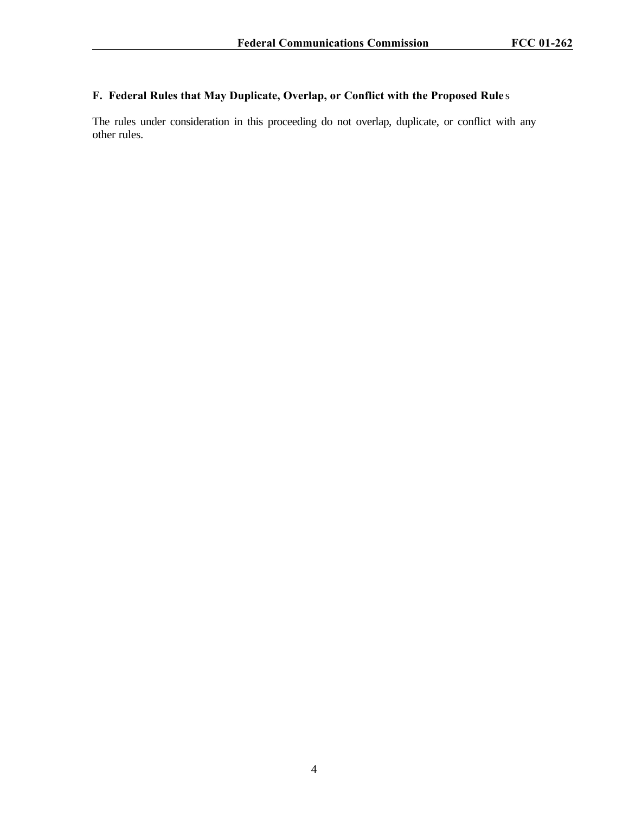# **F. Federal Rules that May Duplicate, Overlap, or Conflict with the Proposed Rule** s

The rules under consideration in this proceeding do not overlap, duplicate, or conflict with any other rules.